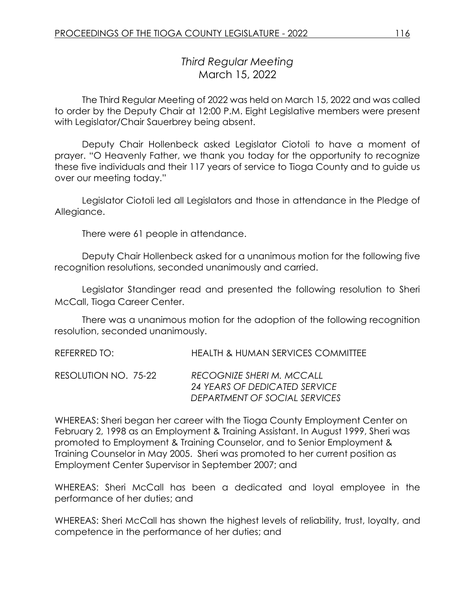# *Third Regular Meeting* March 15, 2022

The Third Regular Meeting of 2022 was held on March 15, 2022 and was called to order by the Deputy Chair at 12:00 P.M. Eight Legislative members were present with Legislator/Chair Sauerbrey being absent.

Deputy Chair Hollenbeck asked Legislator Ciotoli to have a moment of prayer. "O Heavenly Father, we thank you today for the opportunity to recognize these five individuals and their 117 years of service to Tioga County and to guide us over our meeting today."

Legislator Ciotoli led all Legislators and those in attendance in the Pledge of Allegiance.

There were 61 people in attendance.

Deputy Chair Hollenbeck asked for a unanimous motion for the following five recognition resolutions, seconded unanimously and carried.

Legislator Standinger read and presented the following resolution to Sheri McCall, Tioga Career Center.

There was a unanimous motion for the adoption of the following recognition resolution, seconded unanimously.

| REFERRED TO:          | <b>HEALTH &amp; HUMAN SERVICES COMMITTEE</b>                                                |
|-----------------------|---------------------------------------------------------------------------------------------|
| RESOLUTION NO.  75-22 | RECOGNIZE SHERI M. MCCALL<br>24 YEARS OF DEDICATED SERVICE<br>DEPARTMENT OF SOCIAL SERVICES |

WHEREAS: Sheri began her career with the Tioga County Employment Center on February 2, 1998 as an Employment & Training Assistant. In August 1999, Sheri was promoted to Employment & Training Counselor, and to Senior Employment & Training Counselor in May 2005. Sheri was promoted to her current position as Employment Center Supervisor in September 2007; and

WHEREAS: Sheri McCall has been a dedicated and loyal employee in the performance of her duties; and

WHEREAS: Sheri McCall has shown the highest levels of reliability, trust, loyalty, and competence in the performance of her duties; and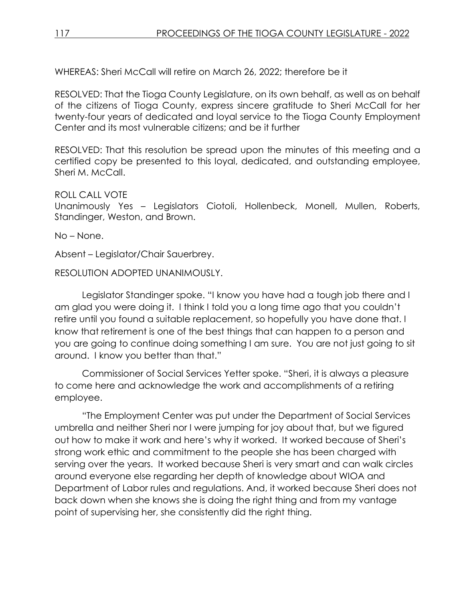WHEREAS: Sheri McCall will retire on March 26, 2022; therefore be it

RESOLVED: That the Tioga County Legislature, on its own behalf, as well as on behalf of the citizens of Tioga County, express sincere gratitude to Sheri McCall for her twenty-four years of dedicated and loyal service to the Tioga County Employment Center and its most vulnerable citizens; and be it further

RESOLVED: That this resolution be spread upon the minutes of this meeting and a certified copy be presented to this loyal, dedicated, and outstanding employee, Sheri M. McCall.

### ROLL CALL VOTE

Unanimously Yes – Legislators Ciotoli, Hollenbeck, Monell, Mullen, Roberts, Standinger, Weston, and Brown.

No – None.

Absent – Legislator/Chair Sauerbrey.

RESOLUTION ADOPTED UNANIMOUSLY.

Legislator Standinger spoke. "I know you have had a tough job there and I am glad you were doing it. I think I told you a long time ago that you couldn't retire until you found a suitable replacement, so hopefully you have done that. I know that retirement is one of the best things that can happen to a person and you are going to continue doing something I am sure. You are not just going to sit around. I know you better than that."

Commissioner of Social Services Yetter spoke. "Sheri, it is always a pleasure to come here and acknowledge the work and accomplishments of a retiring employee.

"The Employment Center was put under the Department of Social Services umbrella and neither Sheri nor I were jumping for joy about that, but we figured out how to make it work and here's why it worked. It worked because of Sheri's strong work ethic and commitment to the people she has been charged with serving over the years. It worked because Sheri is very smart and can walk circles around everyone else regarding her depth of knowledge about WIOA and Department of Labor rules and regulations. And, it worked because Sheri does not back down when she knows she is doing the right thing and from my vantage point of supervising her, she consistently did the right thing.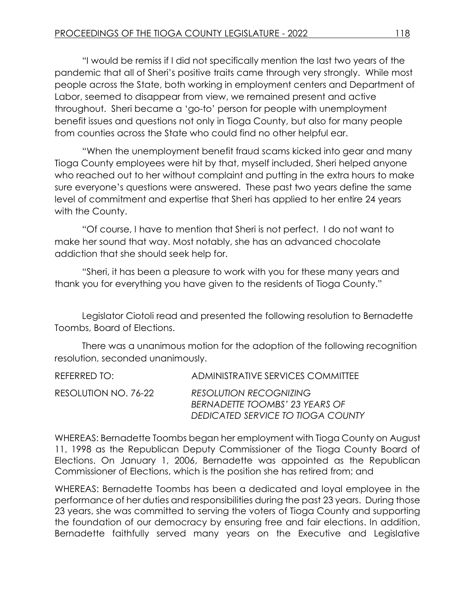"I would be remiss if I did not specifically mention the last two years of the pandemic that all of Sheri's positive traits came through very strongly. While most people across the State, both working in employment centers and Department of Labor, seemed to disappear from view, we remained present and active throughout. Sheri became a 'go-to' person for people with unemployment benefit issues and questions not only in Tioga County, but also for many people from counties across the State who could find no other helpful ear.

"When the unemployment benefit fraud scams kicked into gear and many Tioga County employees were hit by that, myself included, Sheri helped anyone who reached out to her without complaint and putting in the extra hours to make sure everyone's questions were answered. These past two years define the same level of commitment and expertise that Sheri has applied to her entire 24 years with the County.

"Of course, I have to mention that Sheri is not perfect. I do not want to make her sound that way. Most notably, she has an advanced chocolate addiction that she should seek help for.

"Sheri, it has been a pleasure to work with you for these many years and thank you for everything you have given to the residents of Tioga County."

Legislator Ciotoli read and presented the following resolution to Bernadette Toombs, Board of Elections.

There was a unanimous motion for the adoption of the following recognition resolution, seconded unanimously.

| REFERRED TO:         | ADMINISTRATIVE SERVICES COMMITTEE                                                                    |
|----------------------|------------------------------------------------------------------------------------------------------|
| RESOLUTION NO. 76-22 | <b>RESOLUTION RECOGNIZING</b><br>BERNADETTE TOOMBS' 23 YEARS OF<br>DEDICATED SERVICE TO TIOGA COUNTY |

WHEREAS: Bernadette Toombs began her employment with Tioga County on August 11, 1998 as the Republican Deputy Commissioner of the Tioga County Board of Elections. On January 1, 2006, Bernadette was appointed as the Republican Commissioner of Elections, which is the position she has retired from; and

WHEREAS: Bernadette Toombs has been a dedicated and loyal employee in the performance of her duties and responsibilities during the past 23 years. During those 23 years, she was committed to serving the voters of Tioga County and supporting the foundation of our democracy by ensuring free and fair elections. In addition, Bernadette faithfully served many years on the Executive and Legislative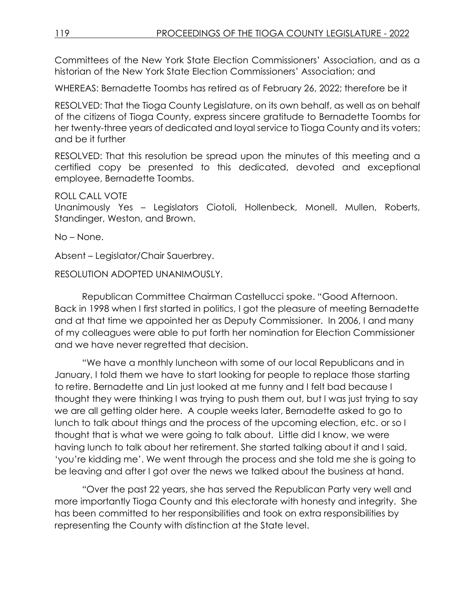Committees of the New York State Election Commissioners' Association, and as a historian of the New York State Election Commissioners' Association; and

WHEREAS: Bernadette Toombs has retired as of February 26, 2022; therefore be it

RESOLVED: That the Tioga County Legislature, on its own behalf, as well as on behalf of the citizens of Tioga County, express sincere gratitude to Bernadette Toombs for her twenty-three years of dedicated and loyal service to Tioga County and its voters; and be it further

RESOLVED: That this resolution be spread upon the minutes of this meeting and a certified copy be presented to this dedicated, devoted and exceptional employee, Bernadette Toombs.

#### ROLL CALL VOTE

Unanimously Yes – Legislators Ciotoli, Hollenbeck, Monell, Mullen, Roberts, Standinger, Weston, and Brown.

No – None.

Absent – Legislator/Chair Sauerbrey.

RESOLUTION ADOPTED UNANIMOUSLY.

Republican Committee Chairman Castellucci spoke. "Good Afternoon. Back in 1998 when I first started in politics, I got the pleasure of meeting Bernadette and at that time we appointed her as Deputy Commissioner. In 2006, I and many of my colleagues were able to put forth her nomination for Election Commissioner and we have never regretted that decision.

"We have a monthly luncheon with some of our local Republicans and in January, I told them we have to start looking for people to replace those starting to retire. Bernadette and Lin just looked at me funny and I felt bad because I thought they were thinking I was trying to push them out, but I was just trying to say we are all getting older here. A couple weeks later, Bernadette asked to go to lunch to talk about things and the process of the upcoming election, etc. or so I thought that is what we were going to talk about. Little did I know, we were having lunch to talk about her retirement. She started talking about it and I said, 'you're kidding me'. We went through the process and she told me she is going to be leaving and after I got over the news we talked about the business at hand.

"Over the past 22 years, she has served the Republican Party very well and more importantly Tioga County and this electorate with honesty and integrity. She has been committed to her responsibilities and took on extra responsibilities by representing the County with distinction at the State level.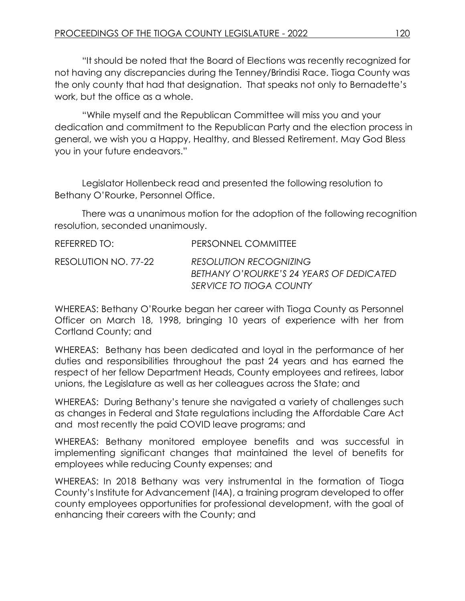"It should be noted that the Board of Elections was recently recognized for not having any discrepancies during the Tenney/Brindisi Race. Tioga County was the only county that had that designation. That speaks not only to Bernadette's work, but the office as a whole.

"While myself and the Republican Committee will miss you and your dedication and commitment to the Republican Party and the election process in general, we wish you a Happy, Healthy, and Blessed Retirement. May God Bless you in your future endeavors."

Legislator Hollenbeck read and presented the following resolution to Bethany O'Rourke, Personnel Office.

There was a unanimous motion for the adoption of the following recognition resolution, seconded unanimously.

| REFERRED TO:         | PERSONNEL COMMITTEE                                                                                  |
|----------------------|------------------------------------------------------------------------------------------------------|
| RESOLUTION NO. 77-22 | <b>RESOLUTION RECOGNIZING</b><br>BETHANY O'ROURKE'S 24 YEARS OF DEDICATED<br>SERVICE TO TIOGA COUNTY |
|                      |                                                                                                      |

WHEREAS: Bethany O'Rourke began her career with Tioga County as Personnel Officer on March 18, 1998, bringing 10 years of experience with her from Cortland County; and

WHEREAS: Bethany has been dedicated and loyal in the performance of her duties and responsibilities throughout the past 24 years and has earned the respect of her fellow Department Heads, County employees and retirees, labor unions, the Legislature as well as her colleagues across the State; and

WHEREAS: During Bethany's tenure she navigated a variety of challenges such as changes in Federal and State regulations including the Affordable Care Act and most recently the paid COVID leave programs; and

WHEREAS: Bethany monitored employee benefits and was successful in implementing significant changes that maintained the level of benefits for employees while reducing County expenses; and

WHEREAS: In 2018 Bethany was very instrumental in the formation of Tioga County's Institute for Advancement (I4A), a training program developed to offer county employees opportunities for professional development, with the goal of enhancing their careers with the County; and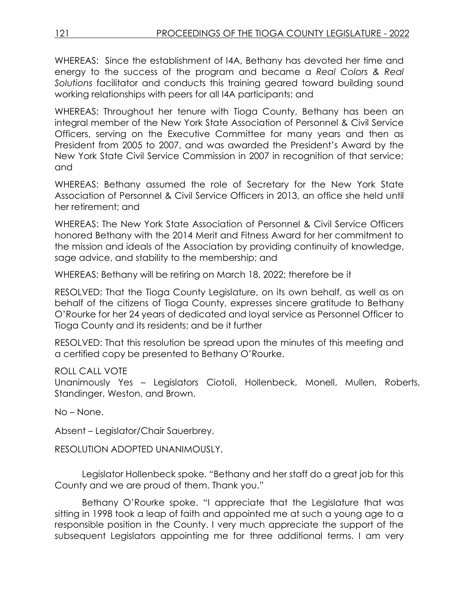WHEREAS: Since the establishment of I4A, Bethany has devoted her time and energy to the success of the program and became a *Real Colors & Real Solutions* facilitator and conducts this training geared toward building sound working relationships with peers for all I4A participants; and

WHEREAS: Throughout her tenure with Tioga County, Bethany has been an integral member of the New York State Association of Personnel & Civil Service Officers, serving on the Executive Committee for many years and then as President from 2005 to 2007, and was awarded the President's Award by the New York State Civil Service Commission in 2007 in recognition of that service; and

WHEREAS: Bethany assumed the role of Secretary for the New York State Association of Personnel & Civil Service Officers in 2013, an office she held until her retirement; and

WHEREAS: The New York State Association of Personnel & Civil Service Officers honored Bethany with the 2014 Merit and Fitness Award for her commitment to the mission and ideals of the Association by providing continuity of knowledge, sage advice, and stability to the membership; and

WHEREAS: Bethany will be retiring on March 18, 2022; therefore be it

RESOLVED: That the Tioga County Legislature, on its own behalf, as well as on behalf of the citizens of Tioga County, expresses sincere gratitude to Bethany O'Rourke for her 24 years of dedicated and loyal service as Personnel Officer to Tioga County and its residents; and be it further

RESOLVED: That this resolution be spread upon the minutes of this meeting and a certified copy be presented to Bethany O'Rourke.

#### ROLL CALL VOTE

Unanimously Yes – Legislators Ciotoli, Hollenbeck, Monell, Mullen, Roberts, Standinger, Weston, and Brown.

No – None.

Absent – Legislator/Chair Sauerbrey.

RESOLUTION ADOPTED UNANIMOUSLY.

Legislator Hollenbeck spoke. "Bethany and her staff do a great job for this County and we are proud of them. Thank you."

Bethany O'Rourke spoke. "I appreciate that the Legislature that was sitting in 1998 took a leap of faith and appointed me at such a young age to a responsible position in the County. I very much appreciate the support of the subsequent Legislators appointing me for three additional terms. I am very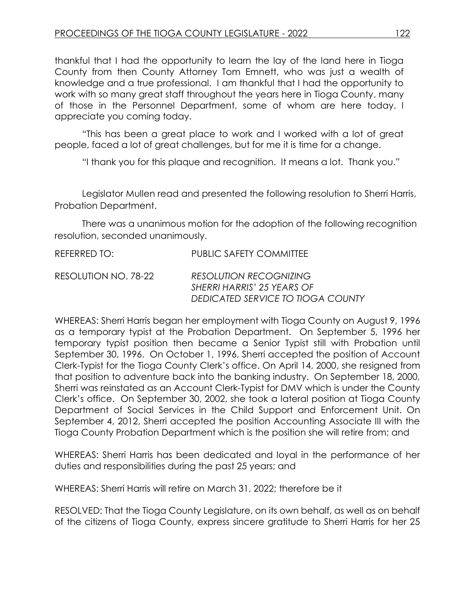thankful that I had the opportunity to learn the lay of the land here in Tioga County from then County Attorney Tom Emnett, who was just a wealth of knowledge and a true professional. I am thankful that I had the opportunity to work with so many great staff throughout the years here in Tioga County, many of those in the Personnel Department, some of whom are here today. I appreciate you coming today.

"This has been a great place to work and I worked with a lot of great people, faced a lot of great challenges, but for me it is time for a change.

"I thank you for this plaque and recognition. It means a lot. Thank you."

Legislator Mullen read and presented the following resolution to Sherri Harris, Probation Department.

There was a unanimous motion for the adoption of the following recognition resolution, seconded unanimously.

| REFERRED TO:         | <b>PUBLIC SAFETY COMMITTEE</b>                                                                   |
|----------------------|--------------------------------------------------------------------------------------------------|
| RESOLUTION NO. 78-22 | <b>RESOLUTION RECOGNIZING</b><br>SHERRI HARRIS' 25 YEARS OF<br>DEDICATED SERVICE TO TIOGA COUNTY |

WHEREAS: Sherri Harris began her employment with Tioga County on August 9, 1996 as a temporary typist at the Probation Department. On September 5, 1996 her temporary typist position then became a Senior Typist still with Probation until September 30, 1996. On October 1, 1996, Sherri accepted the position of Account Clerk-Typist for the Tioga County Clerk's office. On April 14, 2000, she resigned from that position to adventure back into the banking industry. On September 18, 2000, Sherri was reinstated as an Account Clerk-Typist for DMV which is under the County Clerk's office. On September 30, 2002, she took a lateral position at Tioga County Department of Social Services in the Child Support and Enforcement Unit. On September 4, 2012, Sherri accepted the position Accounting Associate III with the Tioga County Probation Department which is the position she will retire from; and

WHEREAS: Sherri Harris has been dedicated and loyal in the performance of her duties and responsibilities during the past 25 years; and

WHEREAS: Sherri Harris will retire on March 31, 2022; therefore be it

RESOLVED: That the Tioga County Legislature, on its own behalf, as well as on behalf of the citizens of Tioga County, express sincere gratitude to Sherri Harris for her 25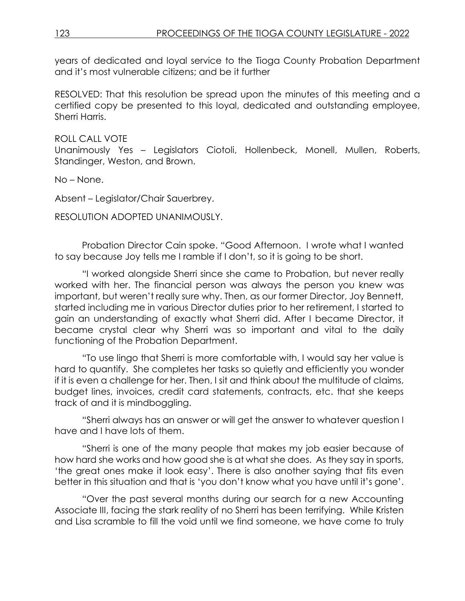years of dedicated and loyal service to the Tioga County Probation Department and it's most vulnerable citizens; and be it further

RESOLVED: That this resolution be spread upon the minutes of this meeting and a certified copy be presented to this loyal, dedicated and outstanding employee, Sherri Harris.

#### ROLL CALL VOTE

Unanimously Yes – Legislators Ciotoli, Hollenbeck, Monell, Mullen, Roberts, Standinger, Weston, and Brown.

No – None.

Absent – Legislator/Chair Sauerbrey.

RESOLUTION ADOPTED UNANIMOUSLY.

Probation Director Cain spoke. "Good Afternoon. I wrote what I wanted to say because Joy tells me I ramble if I don't, so it is going to be short.

"I worked alongside Sherri since she came to Probation, but never really worked with her. The financial person was always the person you knew was important, but weren't really sure why. Then, as our former Director, Joy Bennett, started including me in various Director duties prior to her retirement, I started to gain an understanding of exactly what Sherri did. After I became Director, it became crystal clear why Sherri was so important and vital to the daily functioning of the Probation Department.

"To use lingo that Sherri is more comfortable with, I would say her value is hard to quantify. She completes her tasks so quietly and efficiently you wonder if it is even a challenge for her. Then, I sit and think about the multitude of claims, budget lines, invoices, credit card statements, contracts, etc. that she keeps track of and it is mindboggling.

"Sherri always has an answer or will get the answer to whatever question I have and I have lots of them.

"Sherri is one of the many people that makes my job easier because of how hard she works and how good she is at what she does. As they say in sports, 'the great ones make it look easy'. There is also another saying that fits even better in this situation and that is 'you don't know what you have until it's gone'.

"Over the past several months during our search for a new Accounting Associate III, facing the stark reality of no Sherri has been terrifying. While Kristen and Lisa scramble to fill the void until we find someone, we have come to truly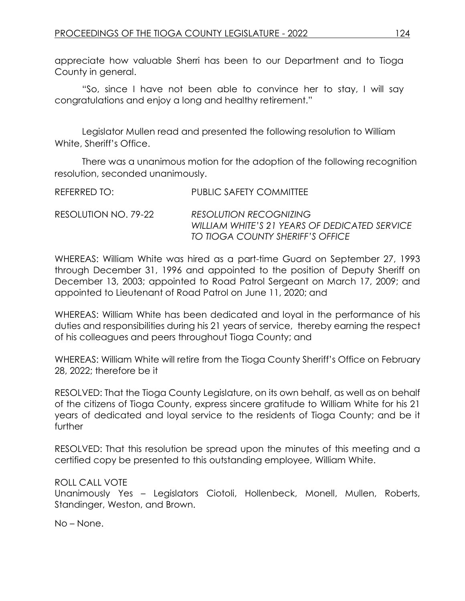appreciate how valuable Sherri has been to our Department and to Tioga County in general.

"So, since I have not been able to convince her to stay, I will say congratulations and enjoy a long and healthy retirement."

Legislator Mullen read and presented the following resolution to William White, Sheriff's Office.

There was a unanimous motion for the adoption of the following recognition resolution, seconded unanimously.

| REFERRED TO:         | PUBLIC SAFETY COMMITTEE                                                                                            |
|----------------------|--------------------------------------------------------------------------------------------------------------------|
| RESOLUTION NO. 79-22 | <b>RESOLUTION RECOGNIZING</b><br>WILLIAM WHITE'S 21 YEARS OF DEDICATED SERVICE<br>TO TIOGA COUNTY SHERIFF'S OFFICE |

WHEREAS: William White was hired as a part-time Guard on September 27, 1993 through December 31, 1996 and appointed to the position of Deputy Sheriff on December 13, 2003; appointed to Road Patrol Sergeant on March 17, 2009; and appointed to Lieutenant of Road Patrol on June 11, 2020; and

WHEREAS: William White has been dedicated and loyal in the performance of his duties and responsibilities during his 21 years of service, thereby earning the respect of his colleagues and peers throughout Tioga County; and

WHEREAS: William White will retire from the Tioga County Sheriff's Office on February 28, 2022; therefore be it

RESOLVED: That the Tioga County Legislature, on its own behalf, as well as on behalf of the citizens of Tioga County, express sincere gratitude to William White for his 21 years of dedicated and loyal service to the residents of Tioga County; and be it further

RESOLVED: That this resolution be spread upon the minutes of this meeting and a certified copy be presented to this outstanding employee, William White.

### ROLL CALL VOTE

Unanimously Yes – Legislators Ciotoli, Hollenbeck, Monell, Mullen, Roberts, Standinger, Weston, and Brown.

No – None.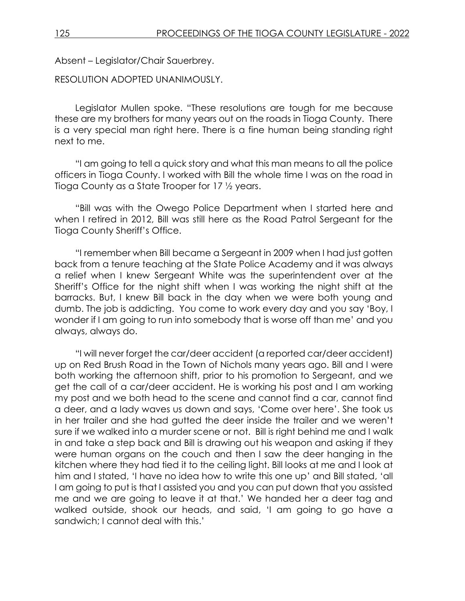Absent – Legislator/Chair Sauerbrey.

RESOLUTION ADOPTED UNANIMOUSLY.

Legislator Mullen spoke. "These resolutions are tough for me because these are my brothers for many years out on the roads in Tioga County. There is a very special man right here. There is a fine human being standing right next to me.

"I am going to tell a quick story and what this man means to all the police officers in Tioga County. I worked with Bill the whole time I was on the road in Tioga County as a State Trooper for 17 ½ years.

"Bill was with the Owego Police Department when I started here and when I retired in 2012, Bill was still here as the Road Patrol Sergeant for the Tioga County Sheriff's Office.

"I remember when Bill became a Sergeant in 2009 when I had just gotten back from a tenure teaching at the State Police Academy and it was always a relief when I knew Sergeant White was the superintendent over at the Sheriff's Office for the night shift when I was working the night shift at the barracks. But, I knew Bill back in the day when we were both young and dumb. The job is addicting. You come to work every day and you say 'Boy, I wonder if I am going to run into somebody that is worse off than me' and you always, always do.

"I will never forget the car/deer accident (a reported car/deer accident) up on Red Brush Road in the Town of Nichols many years ago. Bill and I were both working the afternoon shift, prior to his promotion to Sergeant, and we get the call of a car/deer accident. He is working his post and I am working my post and we both head to the scene and cannot find a car, cannot find a deer, and a lady waves us down and says, 'Come over here'. She took us in her trailer and she had gutted the deer inside the trailer and we weren't sure if we walked into a murder scene or not. Bill is right behind me and I walk in and take a step back and Bill is drawing out his weapon and asking if they were human organs on the couch and then I saw the deer hanging in the kitchen where they had tied it to the ceiling light. Bill looks at me and I look at him and I stated, 'I have no idea how to write this one up' and Bill stated, 'all I am going to put is that I assisted you and you can put down that you assisted me and we are going to leave it at that.' We handed her a deer tag and walked outside, shook our heads, and said, 'I am going to go have a sandwich; I cannot deal with this.'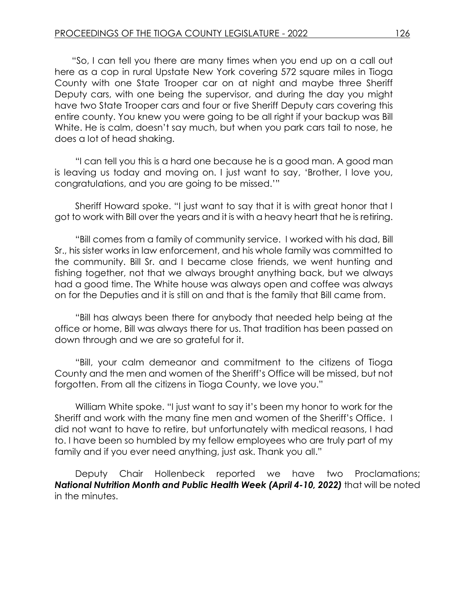"So, I can tell you there are many times when you end up on a call out here as a cop in rural Upstate New York covering 572 square miles in Tioga County with one State Trooper car on at night and maybe three Sheriff Deputy cars, with one being the supervisor, and during the day you might have two State Trooper cars and four or five Sheriff Deputy cars covering this entire county. You knew you were going to be all right if your backup was Bill White. He is calm, doesn't say much, but when you park cars tail to nose, he does a lot of head shaking.

"I can tell you this is a hard one because he is a good man. A good man is leaving us today and moving on. I just want to say, 'Brother, I love you, congratulations, and you are going to be missed.'"

Sheriff Howard spoke. "I just want to say that it is with great honor that I got to work with Bill over the years and it is with a heavy heart that he is retiring.

"Bill comes from a family of community service. I worked with his dad, Bill Sr., his sister works in law enforcement, and his whole family was committed to the community. Bill Sr. and I became close friends, we went hunting and fishing together, not that we always brought anything back, but we always had a good time. The White house was always open and coffee was always on for the Deputies and it is still on and that is the family that Bill came from.

"Bill has always been there for anybody that needed help being at the office or home, Bill was always there for us. That tradition has been passed on down through and we are so grateful for it.

"Bill, your calm demeanor and commitment to the citizens of Tioga County and the men and women of the Sheriff's Office will be missed, but not forgotten. From all the citizens in Tioga County, we love you."

William White spoke. "I just want to say it's been my honor to work for the Sheriff and work with the many fine men and women of the Sheriff's Office. I did not want to have to retire, but unfortunately with medical reasons, I had to. I have been so humbled by my fellow employees who are truly part of my family and if you ever need anything, just ask. Thank you all."

Deputy Chair Hollenbeck reported we have two Proclamations; *National Nutrition Month and Public Health Week (April 4-10, 2022)* that will be noted in the minutes.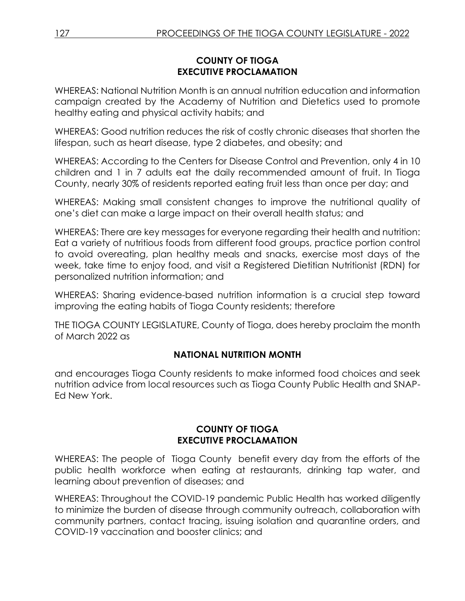#### **COUNTY OF TIOGA EXECUTIVE PROCLAMATION**

WHEREAS: National Nutrition Month is an annual nutrition education and information campaign created by the Academy of Nutrition and Dietetics used to promote healthy eating and physical activity habits; and

WHEREAS: Good nutrition reduces the risk of costly chronic diseases that shorten the lifespan, such as heart disease, type 2 diabetes, and obesity; and

WHEREAS: According to the Centers for Disease Control and Prevention, only 4 in 10 children and 1 in 7 adults eat the daily recommended amount of fruit. In Tioga County, nearly 30% of residents reported eating fruit less than once per day; and

WHEREAS: Making small consistent changes to improve the nutritional quality of one's diet can make a large impact on their overall health status; and

WHEREAS: There are key messages for everyone regarding their health and nutrition: Eat a variety of nutritious foods from different food groups, practice portion control to avoid overeating, plan healthy meals and snacks, exercise most days of the week, take time to enjoy food, and visit a Registered Dietitian Nutritionist (RDN) for personalized nutrition information; and

WHEREAS: Sharing evidence-based nutrition information is a crucial step toward improving the eating habits of Tioga County residents; therefore

THE TIOGA COUNTY LEGISLATURE, County of Tioga, does hereby proclaim the month of March 2022 as

## **NATIONAL NUTRITION MONTH**

and encourages Tioga County residents to make informed food choices and seek nutrition advice from local resources such as Tioga County Public Health and SNAP-Ed New York.

### **COUNTY OF TIOGA EXECUTIVE PROCLAMATION**

WHEREAS: The people of Tioga County benefit every day from the efforts of the public health workforce when eating at restaurants, drinking tap water, and learning about prevention of diseases; and

WHEREAS: Throughout the COVID-19 pandemic Public Health has worked diligently to minimize the burden of disease through community outreach, collaboration with community partners, contact tracing, issuing isolation and quarantine orders, and COVID-19 vaccination and booster clinics; and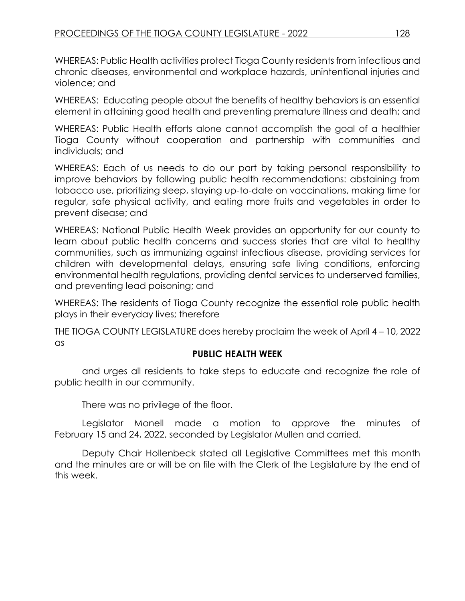WHEREAS: Public Health activities protect Tioga County residents from infectious and chronic diseases, environmental and workplace hazards, unintentional injuries and violence; and

WHEREAS: Educating people about the benefits of healthy behaviors is an essential element in attaining good health and preventing premature illness and death; and

WHEREAS: Public Health efforts alone cannot accomplish the goal of a healthier Tioga County without cooperation and partnership with communities and individuals; and

WHEREAS: Each of us needs to do our part by taking personal responsibility to improve behaviors by following public health recommendations: abstaining from tobacco use, prioritizing sleep, staying up-to-date on vaccinations, making time for regular, safe physical activity, and eating more fruits and vegetables in order to prevent disease; and

WHEREAS: National Public Health Week provides an opportunity for our county to learn about public health concerns and success stories that are vital to healthy communities, such as immunizing against infectious disease, providing services for children with developmental delays, ensuring safe living conditions, enforcing environmental health regulations, providing dental services to underserved families, and preventing lead poisoning; and

WHEREAS: The residents of Tioga County recognize the essential role public health plays in their everyday lives; therefore

THE TIOGA COUNTY LEGISLATURE does hereby proclaim the week of April 4 – 10, 2022 as

### **PUBLIC HEALTH WEEK**

and urges all residents to take steps to educate and recognize the role of public health in our community.

There was no privilege of the floor.

Legislator Monell made a motion to approve the minutes of February 15 and 24, 2022, seconded by Legislator Mullen and carried.

Deputy Chair Hollenbeck stated all Legislative Committees met this month and the minutes are or will be on file with the Clerk of the Legislature by the end of this week.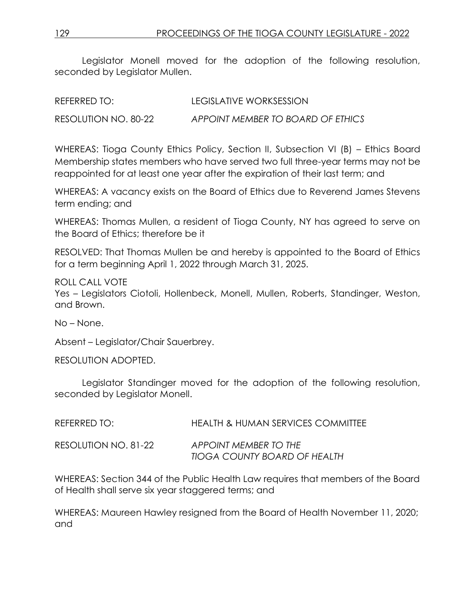Legislator Monell moved for the adoption of the following resolution, seconded by Legislator Mullen.

| REFERRED TO:         | LEGISLATIVE WORKSESSION           |
|----------------------|-----------------------------------|
| RESOLUTION NO. 80-22 | APPOINT MEMBER TO BOARD OF ETHICS |

WHEREAS: Tioga County Ethics Policy, Section II, Subsection VI (B) – Ethics Board Membership states members who have served two full three-year terms may not be reappointed for at least one year after the expiration of their last term; and

WHEREAS: A vacancy exists on the Board of Ethics due to Reverend James Stevens term ending; and

WHEREAS: Thomas Mullen, a resident of Tioga County, NY has agreed to serve on the Board of Ethics; therefore be it

RESOLVED: That Thomas Mullen be and hereby is appointed to the Board of Ethics for a term beginning April 1, 2022 through March 31, 2025.

ROLL CALL VOTE Yes – Legislators Ciotoli, Hollenbeck, Monell, Mullen, Roberts, Standinger, Weston, and Brown.

No – None.

Absent – Legislator/Chair Sauerbrey.

RESOLUTION ADOPTED.

Legislator Standinger moved for the adoption of the following resolution, seconded by Legislator Monell.

| REFERRED TO:         | <b>HEALTH &amp; HUMAN SERVICES COMMITTEE</b>          |
|----------------------|-------------------------------------------------------|
| RESOLUTION NO. 81-22 | APPOINT MEMBER TO THE<br>TIOGA COUNTY BOARD OF HEALTH |

WHEREAS: Section 344 of the Public Health Law requires that members of the Board of Health shall serve six year staggered terms; and

WHEREAS: Maureen Hawley resigned from the Board of Health November 11, 2020; and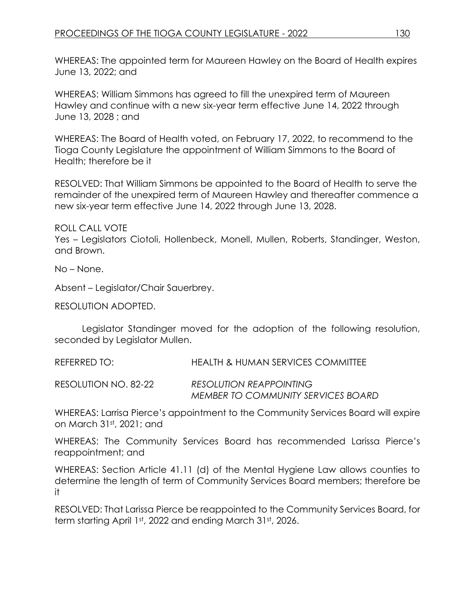WHEREAS: The appointed term for Maureen Hawley on the Board of Health expires June 13, 2022; and

WHEREAS: William Simmons has agreed to fill the unexpired term of Maureen Hawley and continue with a new six-year term effective June 14, 2022 through June 13, 2028 ; and

WHEREAS: The Board of Health voted, on February 17, 2022, to recommend to the Tioga County Legislature the appointment of William Simmons to the Board of Health; therefore be it

RESOLVED: That William Simmons be appointed to the Board of Health to serve the remainder of the unexpired term of Maureen Hawley and thereafter commence a new six-year term effective June 14, 2022 through June 13, 2028.

ROLL CALL VOTE

Yes – Legislators Ciotoli, Hollenbeck, Monell, Mullen, Roberts, Standinger, Weston, and Brown.

No – None.

Absent – Legislator/Chair Sauerbrey.

RESOLUTION ADOPTED.

Legislator Standinger moved for the adoption of the following resolution, seconded by Legislator Mullen.

REFERRED TO: HEALTH & HUMAN SERVICES COMMITTEE

RESOLUTION NO. 82-22 *RESOLUTION REAPPOINTING MEMBER TO COMMUNITY SERVICES BOARD*

WHEREAS: Larrisa Pierce's appointment to the Community Services Board will expire on March 31st, 2021; and

WHEREAS: The Community Services Board has recommended Larissa Pierce's reappointment; and

WHEREAS: Section Article 41.11 (d) of the Mental Hygiene Law allows counties to determine the length of term of Community Services Board members; therefore be it

RESOLVED: That Larissa Pierce be reappointed to the Community Services Board, for term starting April 1st, 2022 and ending March 31st, 2026.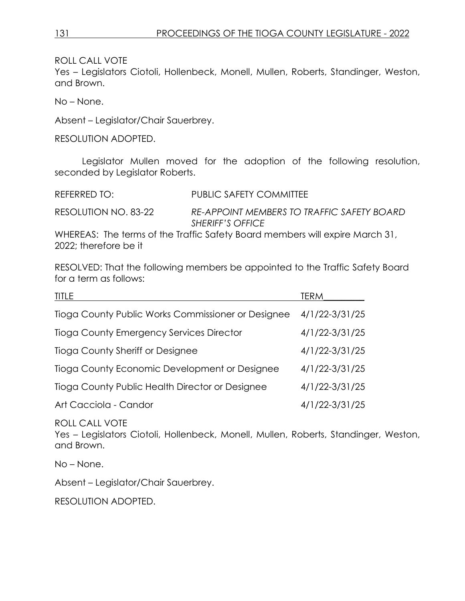Yes – Legislators Ciotoli, Hollenbeck, Monell, Mullen, Roberts, Standinger, Weston, and Brown.

No – None.

Absent – Legislator/Chair Sauerbrey.

RESOLUTION ADOPTED.

Legislator Mullen moved for the adoption of the following resolution, seconded by Legislator Roberts.

REFERRED TO: PUBLIC SAFETY COMMITTEE

RESOLUTION NO. 83-22 *RE-APPOINT MEMBERS TO TRAFFIC SAFETY BOARD SHERIFF'S OFFICE*

WHEREAS: The terms of the Traffic Safety Board members will expire March 31, 2022; therefore be it

RESOLVED: That the following members be appointed to the Traffic Safety Board for a term as follows:

| <b>TITLE</b>                                       | TERM           |
|----------------------------------------------------|----------------|
| Tioga County Public Works Commissioner or Designee | 4/1/22-3/31/25 |
| Tioga County Emergency Services Director           | 4/1/22-3/31/25 |
| Tioga County Sheriff or Designee                   | 4/1/22-3/31/25 |
| Tioga County Economic Development or Designee      | 4/1/22-3/31/25 |
| Tioga County Public Health Director or Designee    | 4/1/22-3/31/25 |
| Art Cacciola - Candor                              | 4/1/22-3/31/25 |

ROLL CALL VOTE

Yes – Legislators Ciotoli, Hollenbeck, Monell, Mullen, Roberts, Standinger, Weston, and Brown.

No – None.

Absent – Legislator/Chair Sauerbrey.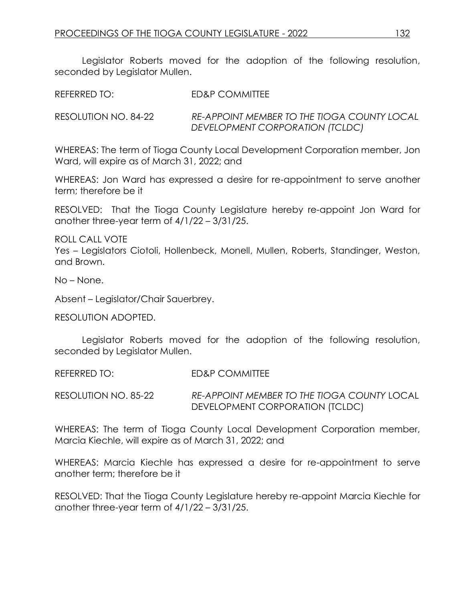Legislator Roberts moved for the adoption of the following resolution, seconded by Legislator Mullen.

REFERRED TO: FD&P COMMITTEE

RESOLUTION NO. 84-22 *RE-APPOINT MEMBER TO THE TIOGA COUNTY LOCAL DEVELOPMENT CORPORATION (TCLDC)*

WHEREAS: The term of Tioga County Local Development Corporation member, Jon Ward, will expire as of March 31, 2022; and

WHEREAS: Jon Ward has expressed a desire for re-appointment to serve another term; therefore be it

RESOLVED: That the Tioga County Legislature hereby re-appoint Jon Ward for another three-year term of 4/1/22 – 3/31/25.

ROLL CALL VOTE Yes – Legislators Ciotoli, Hollenbeck, Monell, Mullen, Roberts, Standinger, Weston, and Brown.

No – None.

Absent – Legislator/Chair Sauerbrey.

RESOLUTION ADOPTED.

Legislator Roberts moved for the adoption of the following resolution, seconded by Legislator Mullen.

REFERRED TO: ED&P COMMITTEE

RESOLUTION NO. 85-22 *RE-APPOINT MEMBER TO THE TIOGA COUNTY* LOCAL DEVELOPMENT CORPORATION (TCLDC)

WHEREAS: The term of Tioga County Local Development Corporation member, Marcia Kiechle, will expire as of March 31, 2022; and

WHEREAS: Marcia Kiechle has expressed a desire for re-appointment to serve another term; therefore be it

RESOLVED: That the Tioga County Legislature hereby re-appoint Marcia Kiechle for another three-year term of 4/1/22 – 3/31/25.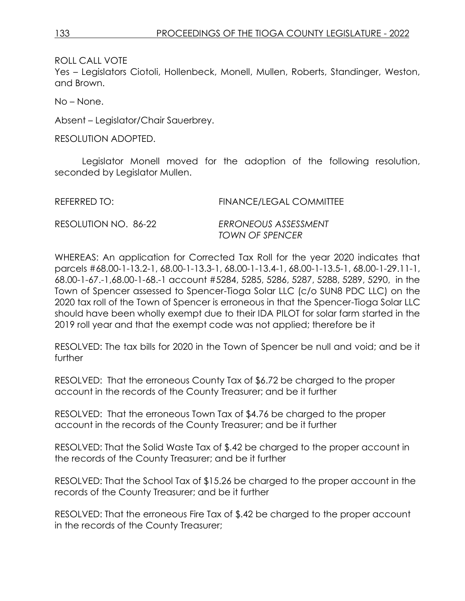Yes – Legislators Ciotoli, Hollenbeck, Monell, Mullen, Roberts, Standinger, Weston, and Brown.

No – None.

Absent – Legislator/Chair Sauerbrey.

RESOLUTION ADOPTED.

Legislator Monell moved for the adoption of the following resolution, seconded by Legislator Mullen.

| REFERRED TO:         | <b>FINANCE/LEGAL COMMITTEE</b>                 |
|----------------------|------------------------------------------------|
| RESOLUTION NO. 86-22 | ERRONEOUS ASSESSMENT<br><b>TOWN OF SPENCER</b> |

WHEREAS: An application for Corrected Tax Roll for the year 2020 indicates that parcels #68.00-1-13.2-1, 68.00-1-13.3-1, 68.00-1-13.4-1, 68.00-1-13.5-1, 68.00-1-29.11-1, 68.00-1-67.-1,68.00-1-68.-1 account #5284, 5285, 5286, 5287, 5288, 5289, 5290, in the Town of Spencer assessed to Spencer-Tioga Solar LLC (c/o SUN8 PDC LLC) on the 2020 tax roll of the Town of Spencer is erroneous in that the Spencer-Tioga Solar LLC should have been wholly exempt due to their IDA PILOT for solar farm started in the 2019 roll year and that the exempt code was not applied; therefore be it

RESOLVED: The tax bills for 2020 in the Town of Spencer be null and void; and be it further

RESOLVED: That the erroneous County Tax of \$6.72 be charged to the proper account in the records of the County Treasurer; and be it further

RESOLVED: That the erroneous Town Tax of \$4.76 be charged to the proper account in the records of the County Treasurer; and be it further

RESOLVED: That the Solid Waste Tax of \$.42 be charged to the proper account in the records of the County Treasurer; and be it further

RESOLVED: That the School Tax of \$15.26 be charged to the proper account in the records of the County Treasurer; and be it further

RESOLVED: That the erroneous Fire Tax of \$.42 be charged to the proper account in the records of the County Treasurer;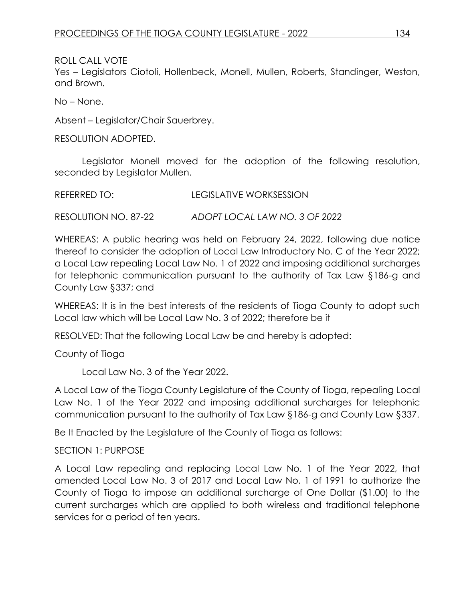Yes – Legislators Ciotoli, Hollenbeck, Monell, Mullen, Roberts, Standinger, Weston, and Brown.

No – None.

Absent – Legislator/Chair Sauerbrey.

RESOLUTION ADOPTED.

Legislator Monell moved for the adoption of the following resolution, seconded by Legislator Mullen.

RESOLUTION NO. 87-22 *ADOPT LOCAL LAW NO. 3 OF 2022*

WHEREAS: A public hearing was held on February 24, 2022, following due notice thereof to consider the adoption of Local Law Introductory No. C of the Year 2022; a Local Law repealing Local Law No. 1 of 2022 and imposing additional surcharges for telephonic communication pursuant to the authority of Tax Law §186-g and County Law §337; and

WHEREAS: It is in the best interests of the residents of Tioga County to adopt such Local law which will be Local Law No. 3 of 2022; therefore be it

RESOLVED: That the following Local Law be and hereby is adopted:

County of Tioga

Local Law No. 3 of the Year 2022.

A Local Law of the Tioga County Legislature of the County of Tioga, repealing Local Law No. 1 of the Year 2022 and imposing additional surcharges for telephonic communication pursuant to the authority of Tax Law §186-g and County Law §337.

Be It Enacted by the Legislature of the County of Tioga as follows:

### SECTION 1: PURPOSE

A Local Law repealing and replacing Local Law No. 1 of the Year 2022, that amended Local Law No. 3 of 2017 and Local Law No. 1 of 1991 to authorize the County of Tioga to impose an additional surcharge of One Dollar (\$1.00) to the current surcharges which are applied to both wireless and traditional telephone services for a period of ten years.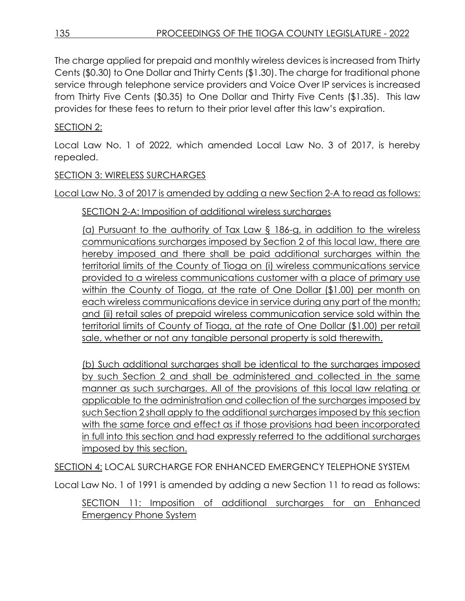The charge applied for prepaid and monthly wireless devices is increased from Thirty Cents (\$0.30) to One Dollar and Thirty Cents (\$1.30). The charge for traditional phone service through telephone service providers and Voice Over IP services is increased from Thirty Five Cents (\$0.35) to One Dollar and Thirty Five Cents (\$1.35). This law provides for these fees to return to their prior level after this law's expiration.

## SECTION 2:

Local Law No. 1 of 2022, which amended Local Law No. 3 of 2017, is hereby repealed.

## SECTION 3: WIRELESS SURCHARGES

Local Law No. 3 of 2017 is amended by adding a new Section 2-A to read as follows:

## SECTION 2-A: Imposition of additional wireless surcharges

(a) Pursuant to the authority of Tax Law § 186-g, in addition to the wireless communications surcharges imposed by Section 2 of this local law, there are hereby imposed and there shall be paid additional surcharges within the territorial limits of the County of Tioga on (i) wireless communications service provided to a wireless communications customer with a place of primary use within the County of Tioga, at the rate of One Dollar (\$1.00) per month on each wireless communications device in service during any part of the month; and (ii) retail sales of prepaid wireless communication service sold within the territorial limits of County of Tioga, at the rate of One Dollar (\$1.00) per retail sale, whether or not any tangible personal property is sold therewith.

(b) Such additional surcharges shall be identical to the surcharges imposed by such Section 2 and shall be administered and collected in the same manner as such surcharges. All of the provisions of this local law relating or applicable to the administration and collection of the surcharges imposed by such Section 2 shall apply to the additional surcharges imposed by this section with the same force and effect as if those provisions had been incorporated in full into this section and had expressly referred to the additional surcharges imposed by this section.

SECTION 4: LOCAL SURCHARGE FOR ENHANCED EMERGENCY TELEPHONE SYSTEM

Local Law No. 1 of 1991 is amended by adding a new Section 11 to read as follows:

SECTION 11: Imposition of additional surcharges for an Enhanced Emergency Phone System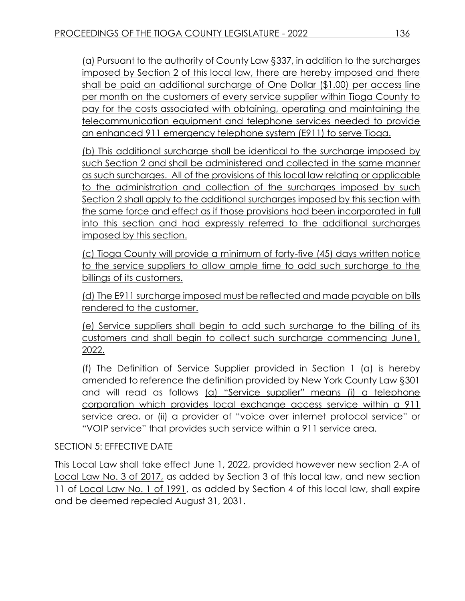(a) Pursuant to the authority of County Law §337, in addition to the surcharges imposed by Section 2 of this local law, there are hereby imposed and there shall be paid an additional surcharge of One Dollar (\$1.00) per access line per month on the customers of every service supplier within Tioga County to pay for the costs associated with obtaining, operating and maintaining the telecommunication equipment and telephone services needed to provide an enhanced 911 emergency telephone system (E911) to serve Tioga.

(b) This additional surcharge shall be identical to the surcharge imposed by such Section 2 and shall be administered and collected in the same manner as such surcharges. All of the provisions of this local law relating or applicable to the administration and collection of the surcharges imposed by such Section 2 shall apply to the additional surcharges imposed by this section with the same force and effect as if those provisions had been incorporated in full into this section and had expressly referred to the additional surcharges imposed by this section.

(c) Tioga County will provide a minimum of forty-five (45) days written notice to the service suppliers to allow ample time to add such surcharge to the billings of its customers.

(d) The E911 surcharge imposed must be reflected and made payable on bills rendered to the customer.

(e) Service suppliers shall begin to add such surcharge to the billing of its customers and shall begin to collect such surcharge commencing June1, 2022.

(f) The Definition of Service Supplier provided in Section 1 (a) is hereby amended to reference the definition provided by New York County Law §301 and will read as follows (a) "Service supplier" means (i) a telephone corporation which provides local exchange access service within a 911 service area, or (ii) a provider of "voice over internet protocol service" or "VOIP service" that provides such service within a 911 service area.

## SECTION 5: EFFECTIVE DATE

This Local Law shall take effect June 1, 2022, provided however new section 2-A of Local Law No. 3 of 2017, as added by Section 3 of this local law, and new section 11 of Local Law No. 1 of 1991, as added by Section 4 of this local law, shall expire and be deemed repealed August 31, 2031.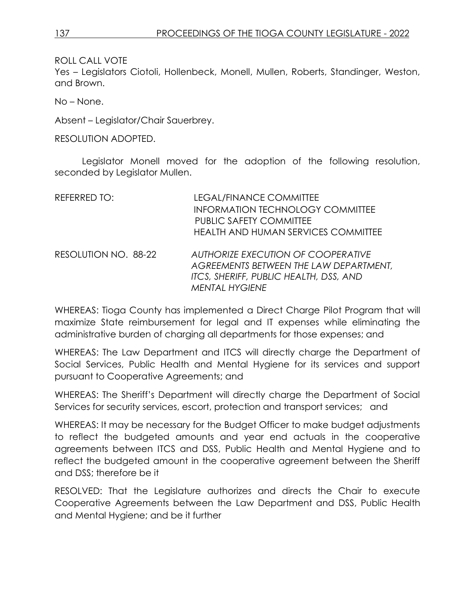Yes – Legislators Ciotoli, Hollenbeck, Monell, Mullen, Roberts, Standinger, Weston, and Brown.

No – None.

Absent – Legislator/Chair Sauerbrey.

RESOLUTION ADOPTED.

Legislator Monell moved for the adoption of the following resolution, seconded by Legislator Mullen.

| REFERRED TO:         | <b>LEGAL/FINANCE COMMITTEE</b>                                                                                                                  |
|----------------------|-------------------------------------------------------------------------------------------------------------------------------------------------|
|                      | <b>INFORMATION TECHNOLOGY COMMITTEE</b><br><b>PUBLIC SAFETY COMMITTEE</b>                                                                       |
|                      | <b>HEALTH AND HUMAN SERVICES COMMITTEE</b>                                                                                                      |
| RESOLUTION NO. 88-22 | AUTHORIZE EXECUTION OF COOPERATIVE<br>AGREEMENTS BETWEEN THE LAW DEPARTMENT,<br>ITCS, SHERIFF, PUBLIC HEALTH, DSS, AND<br><b>MENTAL HYGIENE</b> |

WHEREAS: Tioga County has implemented a Direct Charge Pilot Program that will maximize State reimbursement for legal and IT expenses while eliminating the administrative burden of charging all departments for those expenses; and

WHEREAS: The Law Department and ITCS will directly charge the Department of Social Services, Public Health and Mental Hygiene for its services and support pursuant to Cooperative Agreements; and

WHEREAS: The Sheriff's Department will directly charge the Department of Social Services for security services, escort, protection and transport services; and

WHEREAS: It may be necessary for the Budget Officer to make budget adjustments to reflect the budgeted amounts and year end actuals in the cooperative agreements between ITCS and DSS, Public Health and Mental Hygiene and to reflect the budgeted amount in the cooperative agreement between the Sheriff and DSS; therefore be it

RESOLVED: That the Legislature authorizes and directs the Chair to execute Cooperative Agreements between the Law Department and DSS, Public Health and Mental Hygiene; and be it further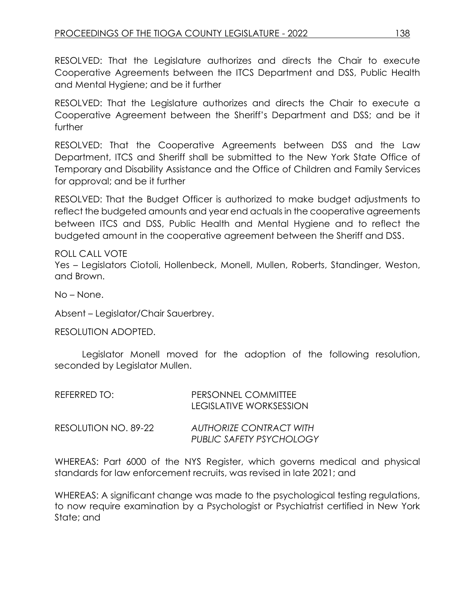RESOLVED: That the Legislature authorizes and directs the Chair to execute Cooperative Agreements between the ITCS Department and DSS, Public Health and Mental Hygiene; and be it further

RESOLVED: That the Legislature authorizes and directs the Chair to execute a Cooperative Agreement between the Sheriff's Department and DSS; and be it further

RESOLVED: That the Cooperative Agreements between DSS and the Law Department, ITCS and Sheriff shall be submitted to the New York State Office of Temporary and Disability Assistance and the Office of Children and Family Services for approval; and be it further

RESOLVED: That the Budget Officer is authorized to make budget adjustments to reflect the budgeted amounts and year end actuals in the cooperative agreements between ITCS and DSS, Public Health and Mental Hygiene and to reflect the budgeted amount in the cooperative agreement between the Sheriff and DSS.

ROLL CALL VOTE Yes – Legislators Ciotoli, Hollenbeck, Monell, Mullen, Roberts, Standinger, Weston, and Brown.

No – None.

Absent – Legislator/Chair Sauerbrey.

RESOLUTION ADOPTED.

Legislator Monell moved for the adoption of the following resolution, seconded by Legislator Mullen.

| REFERRED TO: I       | PERSONNEL COMMITTEE<br>LEGISLATIVE WORKSESSION             |
|----------------------|------------------------------------------------------------|
| RESOLUTION NO. 89-22 | AUTHORIZE CONTRACT WITH<br><b>PUBLIC SAFETY PSYCHOLOGY</b> |

WHEREAS: Part 6000 of the NYS Register, which governs medical and physical standards for law enforcement recruits, was revised in late 2021; and

WHEREAS: A significant change was made to the psychological testing regulations, to now require examination by a Psychologist or Psychiatrist certified in New York State; and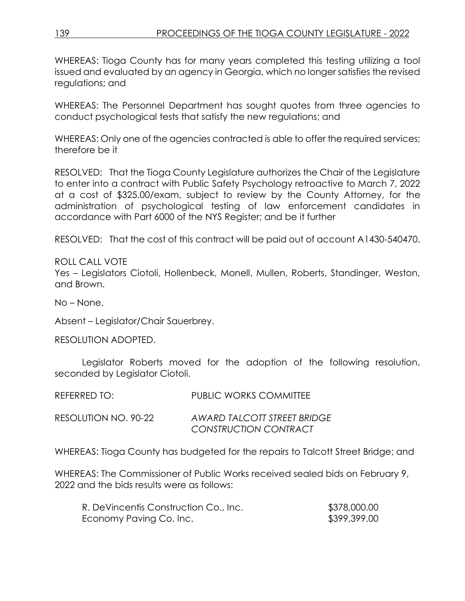WHEREAS: Tioga County has for many years completed this testing utilizing a tool issued and evaluated by an agency in Georgia, which no longer satisfies the revised regulations; and

WHEREAS: The Personnel Department has sought quotes from three agencies to conduct psychological tests that satisfy the new regulations; and

WHEREAS: Only one of the agencies contracted is able to offer the required services; therefore be it

RESOLVED: That the Tioga County Legislature authorizes the Chair of the Legislature to enter into a contract with Public Safety Psychology retroactive to March 7, 2022 at a cost of \$325.00/exam, subject to review by the County Attorney, for the administration of psychological testing of law enforcement candidates in accordance with Part 6000 of the NYS Register; and be it further

RESOLVED: That the cost of this contract will be paid out of account A1430-540470.

ROLL CALL VOTE Yes – Legislators Ciotoli, Hollenbeck, Monell, Mullen, Roberts, Standinger, Weston, and Brown.

No – None.

Absent – Legislator/Chair Sauerbrey.

RESOLUTION ADOPTED.

Legislator Roberts moved for the adoption of the following resolution, seconded by Legislator Ciotoli.

| REFERRED TO:         | <b>PUBLIC WORKS COMMITTEE</b>                               |
|----------------------|-------------------------------------------------------------|
| RESOLUTION NO. 90-22 | AWARD TALCOTT STREET BRIDGE<br><b>CONSTRUCTION CONTRACT</b> |

WHEREAS: Tioga County has budgeted for the repairs to Talcott Street Bridge; and

WHEREAS: The Commissioner of Public Works received sealed bids on February 9, 2022 and the bids results were as follows:

| R. DeVincentis Construction Co., Inc. | \$378,000.00 |
|---------------------------------------|--------------|
| Economy Paving Co. Inc.               | \$399,399.00 |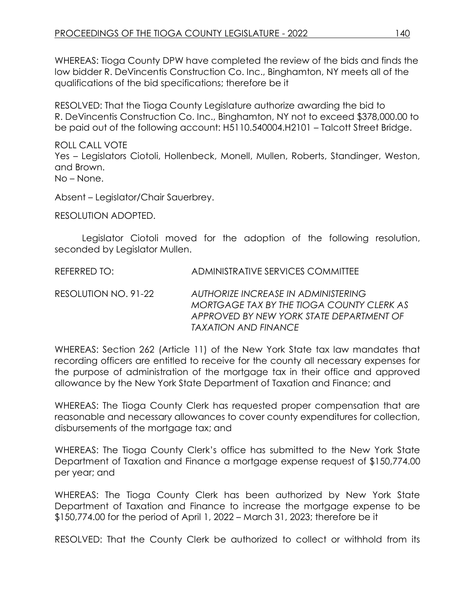WHEREAS: Tioga County DPW have completed the review of the bids and finds the low bidder R. DeVincentis Construction Co. Inc., Binghamton, NY meets all of the qualifications of the bid specifications; therefore be it

RESOLVED: That the Tioga County Legislature authorize awarding the bid to R. DeVincentis Construction Co. Inc., Binghamton, NY not to exceed \$378,000.00 to be paid out of the following account: H5110.540004.H2101 – Talcott Street Bridge.

ROLL CALL VOTE Yes – Legislators Ciotoli, Hollenbeck, Monell, Mullen, Roberts, Standinger, Weston, and Brown. No – None.

Absent – Legislator/Chair Sauerbrey.

RESOLUTION ADOPTED.

Legislator Ciotoli moved for the adoption of the following resolution, seconded by Legislator Mullen.

REFERRED TO: ADMINISTRATIVE SERVICES COMMITTEE

RESOLUTION NO. 91-22 *AUTHORIZE INCREASE IN ADMINISTERING MORTGAGE TAX BY THE TIOGA COUNTY CLERK AS APPROVED BY NEW YORK STATE DEPARTMENT OF TAXATION AND FINANCE*

WHEREAS: Section 262 (Article 11) of the New York State tax law mandates that recording officers are entitled to receive for the county all necessary expenses for the purpose of administration of the mortgage tax in their office and approved allowance by the New York State Department of Taxation and Finance; and

WHEREAS: The Tioga County Clerk has requested proper compensation that are reasonable and necessary allowances to cover county expenditures for collection, disbursements of the mortgage tax; and

WHEREAS: The Tioga County Clerk's office has submitted to the New York State Department of Taxation and Finance a mortgage expense request of \$150,774.00 per year; and

WHEREAS: The Tioga County Clerk has been authorized by New York State Department of Taxation and Finance to increase the mortgage expense to be \$150,774.00 for the period of April 1, 2022 – March 31, 2023; therefore be it

RESOLVED: That the County Clerk be authorized to collect or withhold from its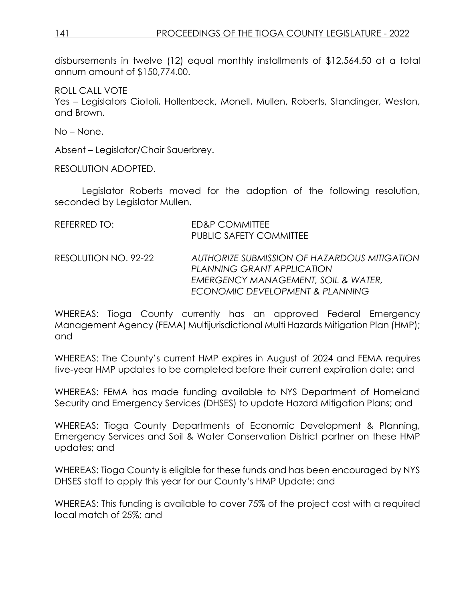disbursements in twelve (12) equal monthly installments of \$12,564.50 at a total annum amount of \$150,774.00.

ROLL CALL VOTE Yes – Legislators Ciotoli, Hollenbeck, Monell, Mullen, Roberts, Standinger, Weston, and Brown.

No – None.

Absent – Legislator/Chair Sauerbrey.

RESOLUTION ADOPTED.

Legislator Roberts moved for the adoption of the following resolution, seconded by Legislator Mullen.

| REFERRED TO:         | <b>ED&amp;P COMMITTEE</b><br><b>PUBLIC SAFETY COMMITTEE</b>                                                                                                     |
|----------------------|-----------------------------------------------------------------------------------------------------------------------------------------------------------------|
| RESOLUTION NO. 92-22 | AUTHORIZE SUBMISSION OF HAZARDOUS MITIGATION<br>PLANNING GRANT APPLICATION<br><b>EMERGENCY MANAGEMENT, SOIL &amp; WATER,</b><br>ECONOMIC DEVELOPMENT & PLANNING |

WHEREAS: Tioga County currently has an approved Federal Emergency Management Agency (FEMA) Multijurisdictional Multi Hazards Mitigation Plan (HMP); and

WHEREAS: The County's current HMP expires in August of 2024 and FEMA requires five-year HMP updates to be completed before their current expiration date; and

WHEREAS: FEMA has made funding available to NYS Department of Homeland Security and Emergency Services (DHSES) to update Hazard Mitigation Plans; and

WHEREAS: Tioga County Departments of Economic Development & Planning, Emergency Services and Soil & Water Conservation District partner on these HMP updates; and

WHEREAS: Tioga County is eligible for these funds and has been encouraged by NYS DHSES staff to apply this year for our County's HMP Update; and

WHEREAS: This funding is available to cover 75% of the project cost with a required local match of 25%; and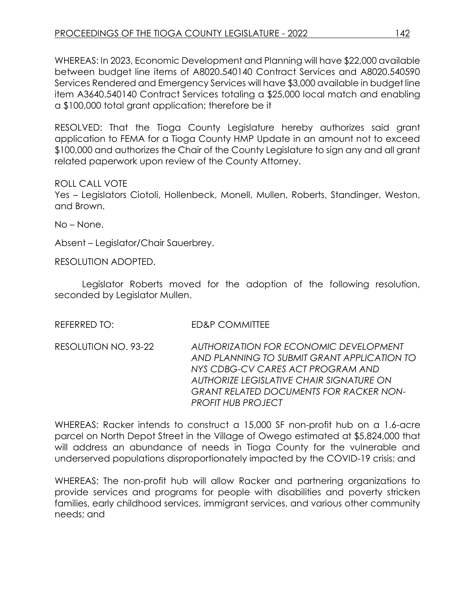WHEREAS: In 2023, Economic Development and Planning will have \$22,000 available between budget line items of A8020.540140 Contract Services and A8020.540590 Services Rendered and Emergency Services will have \$3,000 available in budget line item A3640.540140 Contract Services totaling a \$25,000 local match and enabling a \$100,000 total grant application; therefore be it

RESOLVED: That the Tioga County Legislature hereby authorizes said grant application to FEMA for a Tioga County HMP Update in an amount not to exceed \$100,000 and authorizes the Chair of the County Legislature to sign any and all grant related paperwork upon review of the County Attorney.

ROLL CALL VOTE

Yes – Legislators Ciotoli, Hollenbeck, Monell, Mullen, Roberts, Standinger, Weston, and Brown.

No – None.

Absent – Legislator/Chair Sauerbrey.

RESOLUTION ADOPTED.

Legislator Roberts moved for the adoption of the following resolution, seconded by Legislator Mullen.

REFERRED TO: FD&P COMMITTEE

RESOLUTION NO. 93-22 *AUTHORIZATION FOR ECONOMIC DEVELOPMENT AND PLANNING TO SUBMIT GRANT APPLICATION TO NYS CDBG-CV CARES ACT PROGRAM AND AUTHORIZE LEGISLATIVE CHAIR SIGNATURE ON GRANT RELATED DOCUMENTS FOR RACKER NON-PROFIT HUB PROJECT* 

WHEREAS: Racker intends to construct a 15,000 SF non-profit hub on a 1.6-acre parcel on North Depot Street in the Village of Owego estimated at \$5,824,000 that will address an abundance of needs in Tioga County for the vulnerable and underserved populations disproportionately impacted by the COVID-19 crisis; and

WHEREAS: The non-profit hub will allow Racker and partnering organizations to provide services and programs for people with disabilities and poverty stricken families, early childhood services, immigrant services, and various other community needs; and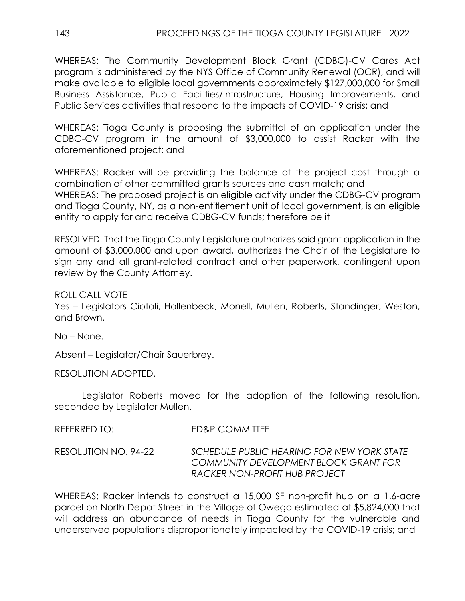WHEREAS: The Community Development Block Grant (CDBG)-CV Cares Act program is administered by the NYS Office of Community Renewal (OCR), and will make available to eligible local governments approximately \$127,000,000 for Small Business Assistance, Public Facilities/Infrastructure, Housing Improvements, and Public Services activities that respond to the impacts of COVID-19 crisis; and

WHEREAS: Tioga County is proposing the submittal of an application under the CDBG-CV program in the amount of \$3,000,000 to assist Racker with the aforementioned project; and

WHEREAS: Racker will be providing the balance of the project cost through a combination of other committed grants sources and cash match; and WHEREAS: The proposed project is an eligible activity under the CDBG-CV program and Tioga County, NY, as a non-entitlement unit of local government, is an eligible entity to apply for and receive CDBG-CV funds; therefore be it

RESOLVED: That the Tioga County Legislature authorizes said grant application in the amount of \$3,000,000 and upon award, authorizes the Chair of the Legislature to sign any and all grant-related contract and other paperwork, contingent upon review by the County Attorney.

ROLL CALL VOTE

Yes – Legislators Ciotoli, Hollenbeck, Monell, Mullen, Roberts, Standinger, Weston, and Brown.

No – None.

Absent – Legislator/Chair Sauerbrey.

RESOLUTION ADOPTED.

Legislator Roberts moved for the adoption of the following resolution, seconded by Legislator Mullen.

REFERRED TO: ED&P COMMITTEE

RESOLUTION NO. 94-22 *SCHEDULE PUBLIC HEARING FOR NEW YORK STATE COMMUNITY DEVELOPMENT BLOCK GRANT FOR RACKER NON-PROFIT HUB PROJECT*

WHEREAS: Racker intends to construct a 15,000 SF non-profit hub on a 1.6-acre parcel on North Depot Street in the Village of Owego estimated at \$5,824,000 that will address an abundance of needs in Tioga County for the vulnerable and underserved populations disproportionately impacted by the COVID-19 crisis; and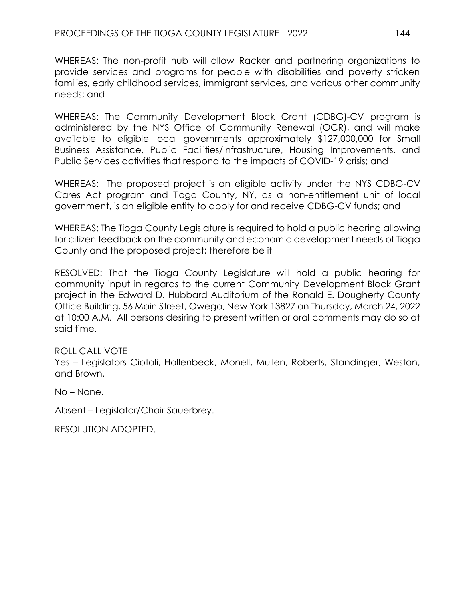WHEREAS: The non-profit hub will allow Racker and partnering organizations to provide services and programs for people with disabilities and poverty stricken families, early childhood services, immigrant services, and various other community needs; and

WHEREAS: The Community Development Block Grant (CDBG)-CV program is administered by the NYS Office of Community Renewal (OCR), and will make available to eligible local governments approximately \$127,000,000 for Small Business Assistance, Public Facilities/Infrastructure, Housing Improvements, and Public Services activities that respond to the impacts of COVID-19 crisis; and

WHEREAS: The proposed project is an eligible activity under the NYS CDBG-CV Cares Act program and Tioga County, NY, as a non-entitlement unit of local government, is an eligible entity to apply for and receive CDBG-CV funds; and

WHEREAS: The Tioga County Legislature is required to hold a public hearing allowing for citizen feedback on the community and economic development needs of Tioga County and the proposed project; therefore be it

RESOLVED: That the Tioga County Legislature will hold a public hearing for community input in regards to the current Community Development Block Grant project in the Edward D. Hubbard Auditorium of the Ronald E. Dougherty County Office Building, 56 Main Street, Owego, New York 13827 on Thursday, March 24, 2022 at 10:00 A.M. All persons desiring to present written or oral comments may do so at said time.

ROLL CALL VOTE

Yes – Legislators Ciotoli, Hollenbeck, Monell, Mullen, Roberts, Standinger, Weston, and Brown.

No – None.

Absent – Legislator/Chair Sauerbrey.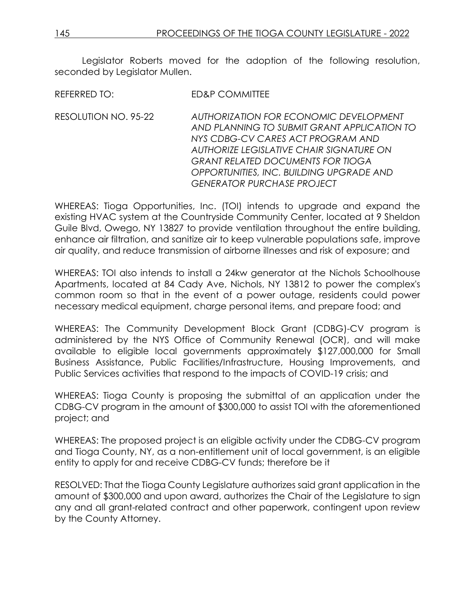Legislator Roberts moved for the adoption of the following resolution, seconded by Legislator Mullen.

REFERRED TO: ED&P COMMITTEE

RESOLUTION NO. 95-22 *AUTHORIZATION FOR ECONOMIC DEVELOPMENT AND PLANNING TO SUBMIT GRANT APPLICATION TO NYS CDBG-CV CARES ACT PROGRAM AND AUTHORIZE LEGISLATIVE CHAIR SIGNATURE ON GRANT RELATED DOCUMENTS FOR TIOGA OPPORTUNITIES, INC. BUILDING UPGRADE AND GENERATOR PURCHASE PROJECT*

WHEREAS: Tioga Opportunities, Inc. (TOI) intends to upgrade and expand the existing HVAC system at the Countryside Community Center, located at 9 Sheldon Guile Blvd, Owego, NY 13827 to provide ventilation throughout the entire building, enhance air filtration, and sanitize air to keep vulnerable populations safe, improve air quality, and reduce transmission of airborne illnesses and risk of exposure; and

WHEREAS: TOI also intends to install a 24kw generator at the Nichols Schoolhouse Apartments, located at 84 Cady Ave, Nichols, NY 13812 to power the complex's common room so that in the event of a power outage, residents could power necessary medical equipment, charge personal items, and prepare food; and

WHEREAS: The Community Development Block Grant (CDBG)-CV program is administered by the NYS Office of Community Renewal (OCR), and will make available to eligible local governments approximately \$127,000,000 for Small Business Assistance, Public Facilities/Infrastructure, Housing Improvements, and Public Services activities that respond to the impacts of COVID-19 crisis; and

WHEREAS: Tioga County is proposing the submittal of an application under the CDBG-CV program in the amount of \$300,000 to assist TOI with the aforementioned project; and

WHEREAS: The proposed project is an eligible activity under the CDBG-CV program and Tioga County, NY, as a non-entitlement unit of local government, is an eligible entity to apply for and receive CDBG-CV funds; therefore be it

RESOLVED: That the Tioga County Legislature authorizes said grant application in the amount of \$300,000 and upon award, authorizes the Chair of the Legislature to sign any and all grant-related contract and other paperwork, contingent upon review by the County Attorney.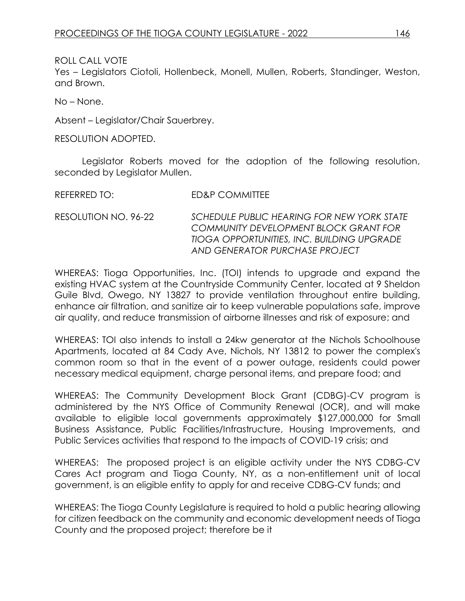Yes – Legislators Ciotoli, Hollenbeck, Monell, Mullen, Roberts, Standinger, Weston, and Brown.

No – None.

Absent – Legislator/Chair Sauerbrey.

RESOLUTION ADOPTED.

Legislator Roberts moved for the adoption of the following resolution, seconded by Legislator Mullen.

REFERRED TO: ED&P COMMITTEE

RESOLUTION NO. 96-22 *SCHEDULE PUBLIC HEARING FOR NEW YORK STATE COMMUNITY DEVELOPMENT BLOCK GRANT FOR TIOGA OPPORTUNITIES, INC. BUILDING UPGRADE AND GENERATOR PURCHASE PROJECT*

WHEREAS: Tioga Opportunities, Inc. (TOI) intends to upgrade and expand the existing HVAC system at the Countryside Community Center, located at 9 Sheldon Guile Blvd, Owego, NY 13827 to provide ventilation throughout entire building, enhance air filtration, and sanitize air to keep vulnerable populations safe, improve air quality, and reduce transmission of airborne illnesses and risk of exposure; and

WHEREAS: TOI also intends to install a 24kw generator at the Nichols Schoolhouse Apartments, located at 84 Cady Ave, Nichols, NY 13812 to power the complex's common room so that in the event of a power outage, residents could power necessary medical equipment, charge personal items, and prepare food; and

WHEREAS: The Community Development Block Grant (CDBG)-CV program is administered by the NYS Office of Community Renewal (OCR), and will make available to eligible local governments approximately \$127,000,000 for Small Business Assistance, Public Facilities/Infrastructure, Housing Improvements, and Public Services activities that respond to the impacts of COVID-19 crisis; and

WHEREAS: The proposed project is an eligible activity under the NYS CDBG-CV Cares Act program and Tioga County, NY, as a non-entitlement unit of local government, is an eligible entity to apply for and receive CDBG-CV funds; and

WHEREAS: The Tioga County Legislature is required to hold a public hearing allowing for citizen feedback on the community and economic development needs of Tioga County and the proposed project; therefore be it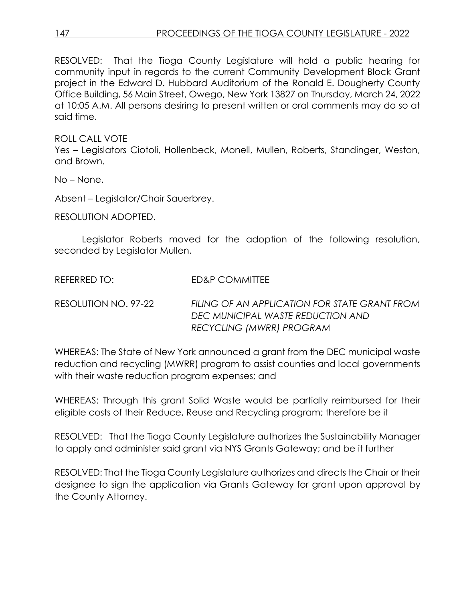RESOLVED: That the Tioga County Legislature will hold a public hearing for community input in regards to the current Community Development Block Grant project in the Edward D. Hubbard Auditorium of the Ronald E. Dougherty County Office Building, 56 Main Street, Owego, New York 13827 on Thursday, March 24, 2022 at 10:05 A.M. All persons desiring to present written or oral comments may do so at said time.

ROLL CALL VOTE

Yes – Legislators Ciotoli, Hollenbeck, Monell, Mullen, Roberts, Standinger, Weston, and Brown.

No – None.

Absent – Legislator/Chair Sauerbrey.

RESOLUTION ADOPTED.

Legislator Roberts moved for the adoption of the following resolution, seconded by Legislator Mullen.

REFERRED TO: ED&P COMMITTEE

RESOLUTION NO. 97-22 *FILING OF AN APPLICATION FOR STATE GRANT FROM DEC MUNICIPAL WASTE REDUCTION AND RECYCLING (MWRR) PROGRAM*

WHEREAS: The State of New York announced a grant from the DEC municipal waste reduction and recycling (MWRR) program to assist counties and local governments with their waste reduction program expenses; and

WHEREAS: Through this grant Solid Waste would be partially reimbursed for their eligible costs of their Reduce, Reuse and Recycling program; therefore be it

RESOLVED: That the Tioga County Legislature authorizes the Sustainability Manager to apply and administer said grant via NYS Grants Gateway; and be it further

RESOLVED: That the Tioga County Legislature authorizes and directs the Chair or their designee to sign the application via Grants Gateway for grant upon approval by the County Attorney.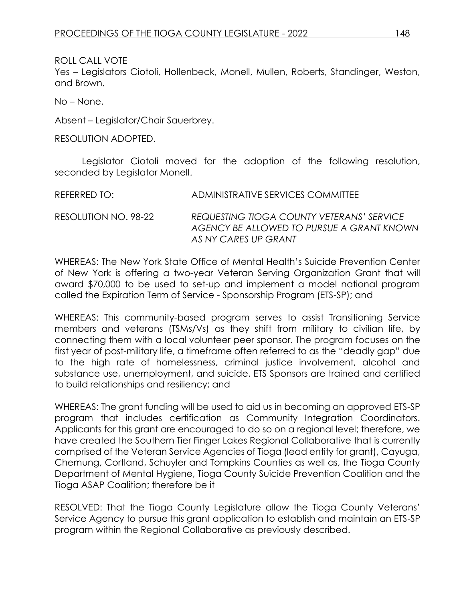Yes – Legislators Ciotoli, Hollenbeck, Monell, Mullen, Roberts, Standinger, Weston, and Brown.

No – None.

Absent – Legislator/Chair Sauerbrey.

RESOLUTION ADOPTED.

Legislator Ciotoli moved for the adoption of the following resolution, seconded by Legislator Monell.

| REFERRED TO:         | ADMINISTRATIVE SERVICES COMMITTEE                                                                              |
|----------------------|----------------------------------------------------------------------------------------------------------------|
| RESOLUTION NO. 98-22 | REQUESTING TIOGA COUNTY VETERANS' SERVICE<br>AGENCY BE ALLOWED TO PURSUE A GRANT KNOWN<br>AS NY CARES UP GRANT |

WHEREAS: The New York State Office of Mental Health's Suicide Prevention Center of New York is offering a two-year Veteran Serving Organization Grant that will award \$70,000 to be used to set-up and implement a model national program called the Expiration Term of Service - Sponsorship Program (ETS-SP); and

WHEREAS: This community-based program serves to assist Transitioning Service members and veterans (TSMs/Vs) as they shift from military to civilian life, by connecting them with a local volunteer peer sponsor. The program focuses on the first year of post-military life, a timeframe often referred to as the "deadly gap" due to the high rate of homelessness, criminal justice involvement, alcohol and substance use, unemployment, and suicide. ETS Sponsors are trained and certified to build relationships and resiliency; and

WHEREAS: The grant funding will be used to aid us in becoming an approved ETS-SP program that includes certification as Community Integration Coordinators. Applicants for this grant are encouraged to do so on a regional level; therefore, we have created the Southern Tier Finger Lakes Regional Collaborative that is currently comprised of the Veteran Service Agencies of Tioga (lead entity for grant), Cayuga, Chemung, Cortland, Schuyler and Tompkins Counties as well as, the Tioga County Department of Mental Hygiene, Tioga County Suicide Prevention Coalition and the Tioga ASAP Coalition; therefore be it

RESOLVED: That the Tioga County Legislature allow the Tioga County Veterans' Service Agency to pursue this grant application to establish and maintain an ETS-SP program within the Regional Collaborative as previously described.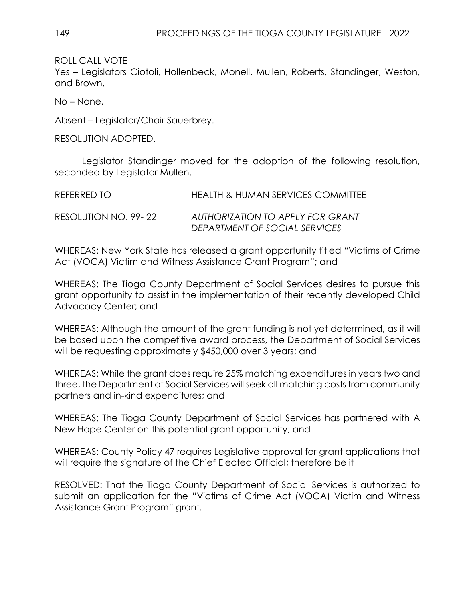Yes – Legislators Ciotoli, Hollenbeck, Monell, Mullen, Roberts, Standinger, Weston, and Brown.

No – None.

Absent – Legislator/Chair Sauerbrey.

RESOLUTION ADOPTED.

Legislator Standinger moved for the adoption of the following resolution, seconded by Legislator Mullen.

| REFERRED TO           | HEALTH & HUMAN SERVICES COMMITTEE                                 |
|-----------------------|-------------------------------------------------------------------|
| RESOLUTION NO. 99- 22 | AUTHORIZATION TO APPLY FOR GRANT<br>DEPARTMENT OF SOCIAL SERVICES |

WHEREAS: New York State has released a grant opportunity titled "Victims of Crime Act (VOCA) Victim and Witness Assistance Grant Program"; and

WHEREAS: The Tioga County Department of Social Services desires to pursue this grant opportunity to assist in the implementation of their recently developed Child Advocacy Center; and

WHEREAS: Although the amount of the grant funding is not yet determined, as it will be based upon the competitive award process, the Department of Social Services will be requesting approximately \$450,000 over 3 years; and

WHEREAS: While the grant does require 25% matching expenditures in years two and three, the Department of Social Services will seek all matching costs from community partners and in-kind expenditures; and

WHEREAS: The Tioga County Department of Social Services has partnered with A New Hope Center on this potential grant opportunity; and

WHEREAS: County Policy 47 requires Legislative approval for grant applications that will require the signature of the Chief Elected Official; therefore be it

RESOLVED: That the Tioga County Department of Social Services is authorized to submit an application for the "Victims of Crime Act (VOCA) Victim and Witness Assistance Grant Program" grant.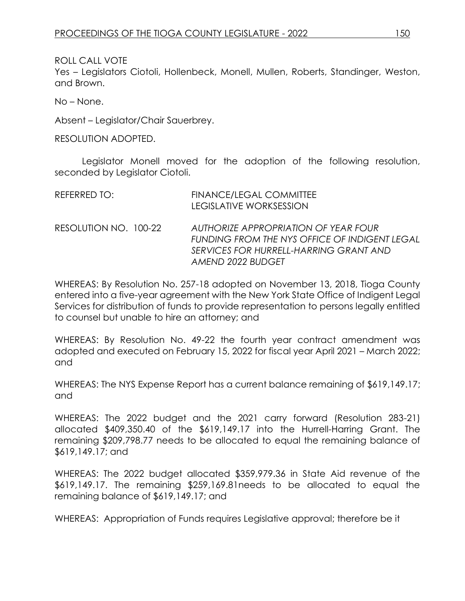Yes – Legislators Ciotoli, Hollenbeck, Monell, Mullen, Roberts, Standinger, Weston, and Brown.

No – None.

Absent – Legislator/Chair Sauerbrey.

RESOLUTION ADOPTED.

Legislator Monell moved for the adoption of the following resolution, seconded by Legislator Ciotoli.

| REFERRED TO:          | FINANCE/LEGAL COMMITTEE<br><b>LEGISLATIVE WORKSESSION</b>                                                                                            |
|-----------------------|------------------------------------------------------------------------------------------------------------------------------------------------------|
| RESOLUTION NO. 100-22 | AUTHORIZE APPROPRIATION OF YEAR FOUR<br>FUNDING FROM THE NYS OFFICE OF INDIGENT LEGAL<br>SERVICES FOR HURRELL-HARRING GRANT AND<br>AMEND 2022 BUDGET |

WHEREAS: By Resolution No. 257-18 adopted on November 13, 2018, Tioga County entered into a five-year agreement with the New York State Office of Indigent Legal Services for distribution of funds to provide representation to persons legally entitled to counsel but unable to hire an attorney; and

WHEREAS: By Resolution No. 49-22 the fourth year contract amendment was adopted and executed on February 15, 2022 for fiscal year April 2021 – March 2022; and

WHEREAS: The NYS Expense Report has a current balance remaining of \$619,149.17; and

WHEREAS: The 2022 budget and the 2021 carry forward (Resolution 283-21) allocated \$409,350.40 of the \$619,149.17 into the Hurrell-Harring Grant. The remaining \$209,798.77 needs to be allocated to equal the remaining balance of \$619,149.17; and

WHEREAS: The 2022 budget allocated \$359,979.36 in State Aid revenue of the \$619,149.17. The remaining \$259,169.81needs to be allocated to equal the remaining balance of \$619,149.17; and

WHEREAS: Appropriation of Funds requires Legislative approval; therefore be it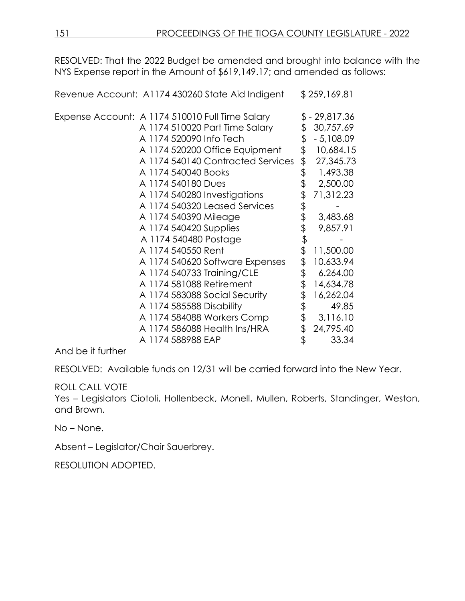RESOLVED: That the 2022 Budget be amended and brought into balance with the NYS Expense report in the Amount of \$619,149.17; and amended as follows:

Expense Account: A 1174 510010 Full Time Salary \$ - 29,817.36 A 1174 510020 Part Time Salary \$ 30,757.69 A 1174 520090 Info Tech  $$-5.108.09$ A 1174 520200 Office Equipment \$ 10,684.15 A 1174 540140 Contracted Services \$ 27,345.73 A 1174 540040 Books \$ 1,493.38 A 1174 540180 Dues \$ 2,500.00 A 1174 540280 Investigations \$ 71,312.23 A 1174 540320 Leased Services \$<br>A 1174 540390 Mileage \$ A 1174 540390 Mileage  $$3,483.68$ A 1174 540420 Supplies \$ 9,857.91 A 1174 540480 Postage \$ A 1174 540550 Rent \$ 11,500.00 A 1174 540620 Software Expenses \$ 10.633.94 A 1174 540733 Training/CLE \$ 6.264.00 A 1174 581088 Retirement \$ 14,634.78 A 1174 583088 Social Security \$ 16,262.04 A 1174 585588 Disability \$ 49.85 A 1174 584088 Workers Comp \$ 3,116.10 A 1174 586088 Health Ins/HRA \$ 24,795.40 A 1174 588988 EAP \$ 33.34

Revenue Account: A1174 430260 State Aid Indigent \$ 259,169.81

And be it further

RESOLVED: Available funds on 12/31 will be carried forward into the New Year.

### ROLL CALL VOTE

Yes – Legislators Ciotoli, Hollenbeck, Monell, Mullen, Roberts, Standinger, Weston, and Brown.

No – None.

Absent – Legislator/Chair Sauerbrey.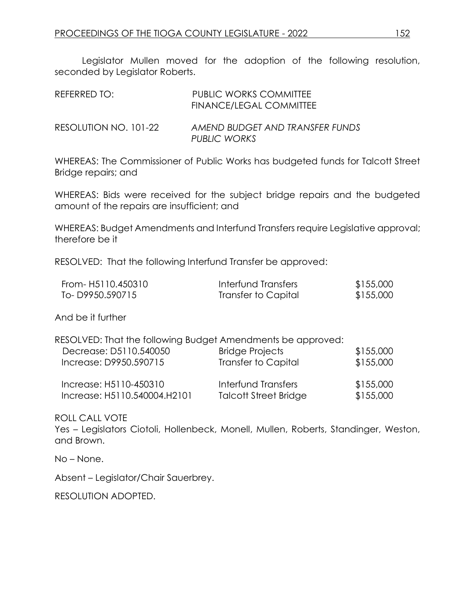Legislator Mullen moved for the adoption of the following resolution, seconded by Legislator Roberts.

| REFERRED TO:          | <b>PUBLIC WORKS COMMITTEE</b><br>FINANCE/LEGAL COMMITTEE |
|-----------------------|----------------------------------------------------------|
| RESOLUTION NO. 101-22 | AMEND BUDGET AND TRANSFER FUNDS<br>PUBLIC WORKS          |

WHEREAS: The Commissioner of Public Works has budgeted funds for Talcott Street Bridge repairs; and

WHEREAS: Bids were received for the subject bridge repairs and the budgeted amount of the repairs are insufficient; and

WHEREAS: Budget Amendments and Interfund Transfers require Legislative approval; therefore be it

RESOLVED: That the following Interfund Transfer be approved:

| From- H5110.450310 | Interfund Transfers | \$155,000 |
|--------------------|---------------------|-----------|
| To-D9950.590715    | Transfer to Capital | \$155,000 |

And be it further

| RESOLVED: That the following Budget Amendments be approved: |                                                     |                        |
|-------------------------------------------------------------|-----------------------------------------------------|------------------------|
| Decrease: D5110.540050                                      | <b>Bridge Projects</b>                              | \$155,000              |
| Increase: D9950.590715                                      | <b>Transfer to Capital</b>                          | \$155,000              |
| Increase: H5110-450310<br>Increase: H5110.540004.H2101      | Interfund Transfers<br><b>Talcott Street Bridge</b> | \$155,000<br>\$155,000 |

ROLL CALL VOTE

Yes – Legislators Ciotoli, Hollenbeck, Monell, Mullen, Roberts, Standinger, Weston, and Brown.

No – None.

Absent – Legislator/Chair Sauerbrey.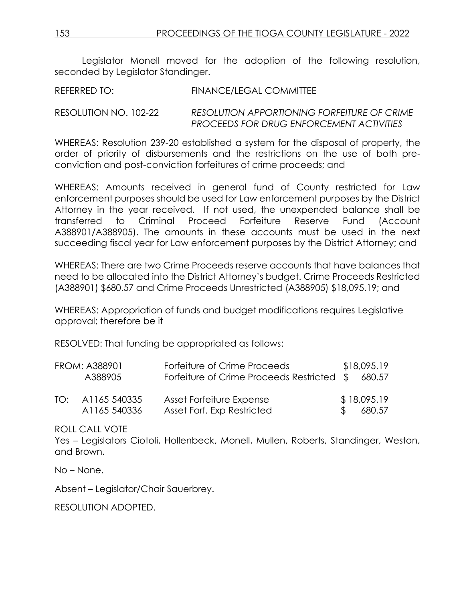Legislator Monell moved for the adoption of the following resolution, seconded by Legislator Standinger.

REFERRED TO: FINANCE/LEGAL COMMITTEE

RESOLUTION NO. 102-22 *RESOLUTION APPORTIONING FORFEITURE OF CRIME PROCEEDS FOR DRUG ENFORCEMENT ACTIVITIES* 

WHEREAS: Resolution 239-20 established a system for the disposal of property, the order of priority of disbursements and the restrictions on the use of both preconviction and post-conviction forfeitures of crime proceeds; and

WHEREAS: Amounts received in general fund of County restricted for Law enforcement purposes should be used for Law enforcement purposes by the District Attorney in the year received. If not used, the unexpended balance shall be transferred to Criminal Proceed Forfeiture Reserve Fund (Account A388901/A388905). The amounts in these accounts must be used in the next succeeding fiscal year for Law enforcement purposes by the District Attorney; and

WHEREAS: There are two Crime Proceeds reserve accounts that have balances that need to be allocated into the District Attorney's budget. Crime Proceeds Restricted (A388901) \$680.57 and Crime Proceeds Unrestricted (A388905) \$18,095.19; and

WHEREAS: Appropriation of funds and budget modifications requires Legislative approval; therefore be it

RESOLVED: That funding be appropriated as follows:

|     | <b>FROM: A388901</b>         | Forfeiture of Crime Proceeds                           | \$18,095.19             |
|-----|------------------------------|--------------------------------------------------------|-------------------------|
|     | A388905                      | Forfeiture of Crime Proceeds Restricted \$             | 680.57                  |
| TO: | A1165 540335<br>A1165 540336 | Asset Forfeiture Expense<br>Asset Forf. Exp Restricted | \$18,095.19<br>\$680.57 |

ROLL CALL VOTE

Yes – Legislators Ciotoli, Hollenbeck, Monell, Mullen, Roberts, Standinger, Weston, and Brown.

No – None.

Absent – Legislator/Chair Sauerbrey.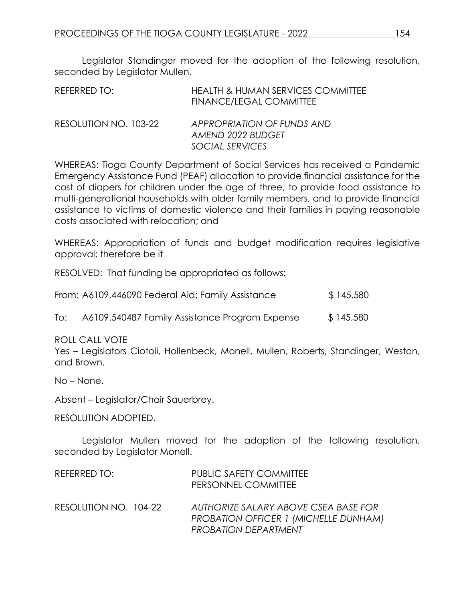Legislator Standinger moved for the adoption of the following resolution, seconded by Legislator Mullen.

| REFERRED TO:          | <b>HEALTH &amp; HUMAN SERVICES COMMITTEE</b><br><b>FINANCE/LEGAL COMMITTEE</b> |
|-----------------------|--------------------------------------------------------------------------------|
| RESOLUTION NO. 103-22 | APPROPRIATION OF FUNDS AND<br>AMEND 2022 BUDGET                                |
|                       | SOCIAL SERVICES                                                                |

WHEREAS: Tioga County Department of Social Services has received a Pandemic Emergency Assistance Fund (PEAF) allocation to provide financial assistance for the cost of diapers for children under the age of three, to provide food assistance to multi-generational households with older family members, and to provide financial assistance to victims of domestic violence and their families in paying reasonable costs associated with relocation; and

WHEREAS: Appropriation of funds and budget modification requires legislative approval; therefore be it

RESOLVED: That funding be appropriated as follows:

| From: A6109.446090 Federal Aid: Family Assistance | \$145,580 |
|---------------------------------------------------|-----------|
|                                                   |           |

To: A6109.540487 Family Assistance Program Expense \$145,580

#### ROLL CALL VOTE

Yes – Legislators Ciotoli, Hollenbeck, Monell, Mullen, Roberts, Standinger, Weston, and Brown.

No – None.

Absent – Legislator/Chair Sauerbrey.

#### RESOLUTION ADOPTED.

Legislator Mullen moved for the adoption of the following resolution, seconded by Legislator Monell.

| REFERRED TO:          | <b>PUBLIC SAFETY COMMITTEE</b><br>PERSONNEL COMMITTEE                                                               |
|-----------------------|---------------------------------------------------------------------------------------------------------------------|
| RESOLUTION NO. 104-22 | AUTHORIZE SALARY ABOVE CSEA BASE FOR<br><b>PROBATION OFFICER 1 (MICHELLE DUNHAM)</b><br><b>PROBATION DEPARTMENT</b> |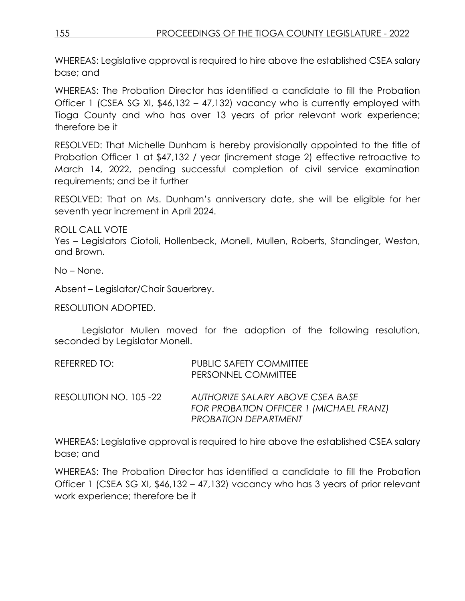WHEREAS: Legislative approval is required to hire above the established CSEA salary base; and

WHEREAS: The Probation Director has identified a candidate to fill the Probation Officer 1 (CSEA SG XI, \$46,132 – 47,132) vacancy who is currently employed with Tioga County and who has over 13 years of prior relevant work experience; therefore be it

RESOLVED: That Michelle Dunham is hereby provisionally appointed to the title of Probation Officer 1 at \$47,132 / year (increment stage 2) effective retroactive to March 14, 2022, pending successful completion of civil service examination requirements; and be it further

RESOLVED: That on Ms. Dunham's anniversary date, she will be eligible for her seventh year increment in April 2024.

ROLL CALL VOTE

Yes – Legislators Ciotoli, Hollenbeck, Monell, Mullen, Roberts, Standinger, Weston, and Brown.

No – None.

Absent – Legislator/Chair Sauerbrey.

RESOLUTION ADOPTED.

Legislator Mullen moved for the adoption of the following resolution, seconded by Legislator Monell.

| REFERRED TO:           | <b>PUBLIC SAFETY COMMITTEE</b><br>PERSONNEL COMMITTEE                                                             |
|------------------------|-------------------------------------------------------------------------------------------------------------------|
| RESOLUTION NO. 105 -22 | AUTHORIZE SALARY ABOVE CSEA BASE<br><b>FOR PROBATION OFFICER 1 (MICHAEL FRANZ)</b><br><b>PROBATION DEPARTMENT</b> |

WHEREAS: Legislative approval is required to hire above the established CSEA salary base; and

WHEREAS: The Probation Director has identified a candidate to fill the Probation Officer 1 (CSEA SG XI, \$46,132 – 47,132) vacancy who has 3 years of prior relevant work experience; therefore be it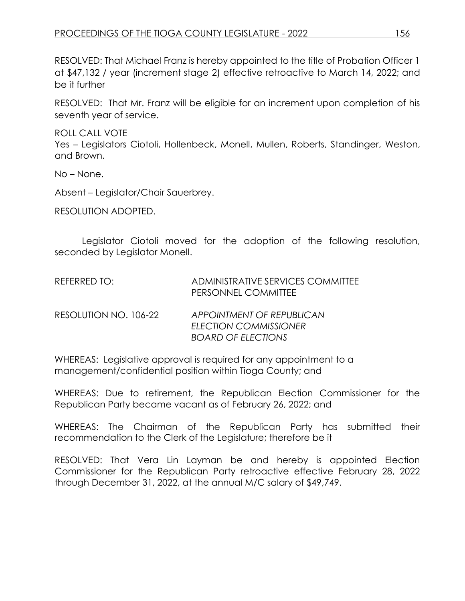RESOLVED: That Michael Franz is hereby appointed to the title of Probation Officer 1 at \$47,132 / year (increment stage 2) effective retroactive to March 14, 2022; and be it further

RESOLVED: That Mr. Franz will be eligible for an increment upon completion of his seventh year of service.

ROLL CALL VOTE Yes – Legislators Ciotoli, Hollenbeck, Monell, Mullen, Roberts, Standinger, Weston, and Brown.

No – None.

Absent – Legislator/Chair Sauerbrey.

RESOLUTION ADOPTED.

Legislator Ciotoli moved for the adoption of the following resolution, seconded by Legislator Monell.

| REFERRED TO:          | ADMINISTRATIVE SERVICES COMMITTEE<br>PERSONNEL COMMITTEE  |
|-----------------------|-----------------------------------------------------------|
| RESOLUTION NO. 106-22 | APPOINTMENT OF REPUBLICAN<br><b>ELECTION COMMISSIONER</b> |

WHEREAS: Legislative approval is required for any appointment to a management/confidential position within Tioga County; and

WHEREAS: Due to retirement, the Republican Election Commissioner for the Republican Party became vacant as of February 26, 2022; and

*BOARD OF ELECTIONS*

WHEREAS: The Chairman of the Republican Party has submitted their recommendation to the Clerk of the Legislature; therefore be it

RESOLVED: That Vera Lin Layman be and hereby is appointed Election Commissioner for the Republican Party retroactive effective February 28, 2022 through December 31, 2022, at the annual M/C salary of \$49,749.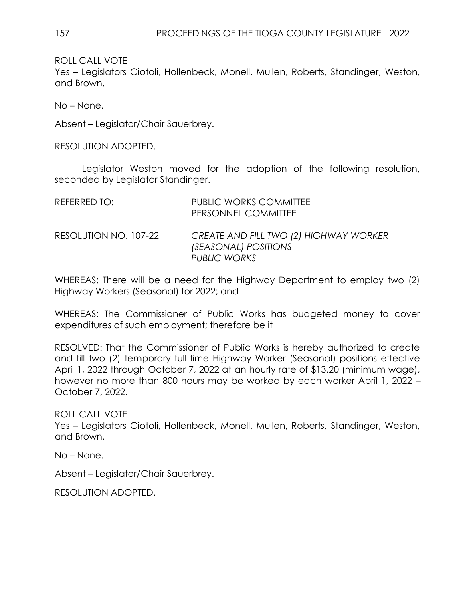Yes – Legislators Ciotoli, Hollenbeck, Monell, Mullen, Roberts, Standinger, Weston, and Brown.

No – None.

Absent – Legislator/Chair Sauerbrey.

RESOLUTION ADOPTED.

Legislator Weston moved for the adoption of the following resolution, seconded by Legislator Standinger.

| REFERRED TO:          | <b>PUBLIC WORKS COMMITTEE</b><br>PERSONNEL COMMITTEE                                         |
|-----------------------|----------------------------------------------------------------------------------------------|
| RESOLUTION NO. 107-22 | CREATE AND FILL TWO (2) HIGHWAY WORKER<br><i>(SEASONAL) POSITIONS</i><br><b>PUBLIC WORKS</b> |

WHEREAS: There will be a need for the Highway Department to employ two (2) Highway Workers (Seasonal) for 2022; and

WHEREAS: The Commissioner of Public Works has budgeted money to cover expenditures of such employment; therefore be it

RESOLVED: That the Commissioner of Public Works is hereby authorized to create and fill two (2) temporary full-time Highway Worker (Seasonal) positions effective April 1, 2022 through October 7, 2022 at an hourly rate of \$13.20 (minimum wage), however no more than 800 hours may be worked by each worker April 1, 2022 – October 7, 2022.

ROLL CALL VOTE

Yes – Legislators Ciotoli, Hollenbeck, Monell, Mullen, Roberts, Standinger, Weston, and Brown.

No – None.

Absent – Legislator/Chair Sauerbrey.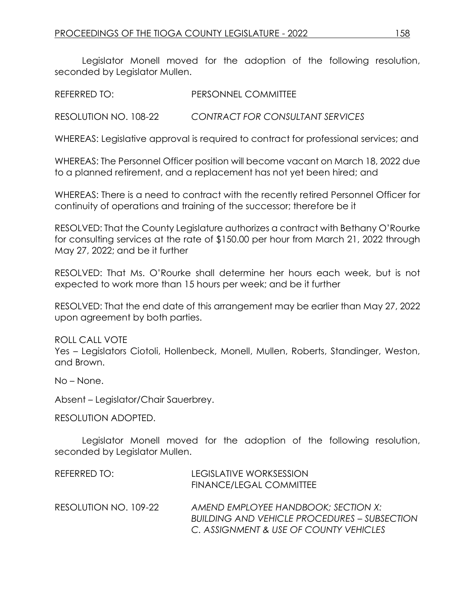Legislator Monell moved for the adoption of the following resolution, seconded by Legislator Mullen.

REFERRED TO: PERSONNEL COMMITTEE

RESOLUTION NO. 108-22 *CONTRACT FOR CONSULTANT SERVICES*

WHEREAS: Legislative approval is required to contract for professional services; and

WHEREAS: The Personnel Officer position will become vacant on March 18, 2022 due to a planned retirement, and a replacement has not yet been hired; and

WHEREAS: There is a need to contract with the recently retired Personnel Officer for continuity of operations and training of the successor; therefore be it

RESOLVED: That the County Legislature authorizes a contract with Bethany O'Rourke for consulting services at the rate of \$150.00 per hour from March 21, 2022 through May 27, 2022; and be it further

RESOLVED: That Ms. O'Rourke shall determine her hours each week, but is not expected to work more than 15 hours per week; and be it further

RESOLVED: That the end date of this arrangement may be earlier than May 27, 2022 upon agreement by both parties.

ROLL CALL VOTE Yes – Legislators Ciotoli, Hollenbeck, Monell, Mullen, Roberts, Standinger, Weston, and Brown.

No – None.

Absent – Legislator/Chair Sauerbrey.

RESOLUTION ADOPTED.

Legislator Monell moved for the adoption of the following resolution, seconded by Legislator Mullen.

| REFERRED TO:          | <b>LEGISLATIVE WORKSESSION</b><br><b>FINANCE/LEGAL COMMITTEE</b>                                                                     |
|-----------------------|--------------------------------------------------------------------------------------------------------------------------------------|
| RESOLUTION NO. 109-22 | AMEND EMPLOYEE HANDBOOK: SECTION X:<br><b>BUILDING AND VEHICLE PROCEDURES – SUBSECTION</b><br>C. ASSIGNMENT & USE OF COUNTY VEHICLES |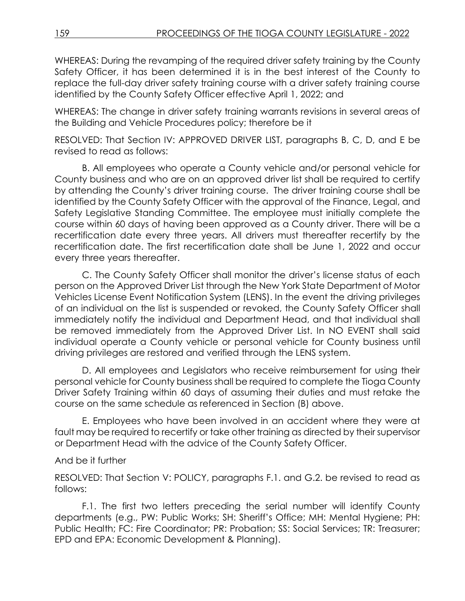WHEREAS: During the revamping of the required driver safety training by the County Safety Officer, it has been determined it is in the best interest of the County to replace the full-day driver safety training course with a driver safety training course identified by the County Safety Officer effective April 1, 2022; and

WHEREAS: The change in driver safety training warrants revisions in several areas of the Building and Vehicle Procedures policy; therefore be it

RESOLVED: That Section IV: APPROVED DRIVER LIST, paragraphs B, C, D, and E be revised to read as follows:

B. All employees who operate a County vehicle and/or personal vehicle for County business and who are on an approved driver list shall be required to certify by attending the County's driver training course. The driver training course shall be identified by the County Safety Officer with the approval of the Finance, Legal, and Safety Legislative Standing Committee. The employee must initially complete the course within 60 days of having been approved as a County driver. There will be a recertification date every three years. All drivers must thereafter recertify by the recertification date. The first recertification date shall be June 1, 2022 and occur every three years thereafter.

C. The County Safety Officer shall monitor the driver's license status of each person on the Approved Driver List through the New York State Department of Motor Vehicles License Event Notification System (LENS). In the event the driving privileges of an individual on the list is suspended or revoked, the County Safety Officer shall immediately notify the individual and Department Head, and that individual shall be removed immediately from the Approved Driver List. In NO EVENT shall said individual operate a County vehicle or personal vehicle for County business until driving privileges are restored and verified through the LENS system.

D. All employees and Legislators who receive reimbursement for using their personal vehicle for County business shall be required to complete the Tioga County Driver Safety Training within 60 days of assuming their duties and must retake the course on the same schedule as referenced in Section (B) above.

E. Employees who have been involved in an accident where they were at fault may be required to recertify or take other training as directed by their supervisor or Department Head with the advice of the County Safety Officer.

### And be it further

RESOLVED: That Section V: POLICY, paragraphs F.1. and G.2. be revised to read as follows:

F.1. The first two letters preceding the serial number will identify County departments (e.g., PW: Public Works; SH: Sheriff's Office; MH: Mental Hygiene; PH: Public Health; FC: Fire Coordinator; PR: Probation; SS: Social Services; TR: Treasurer; EPD and EPA: Economic Development & Planning).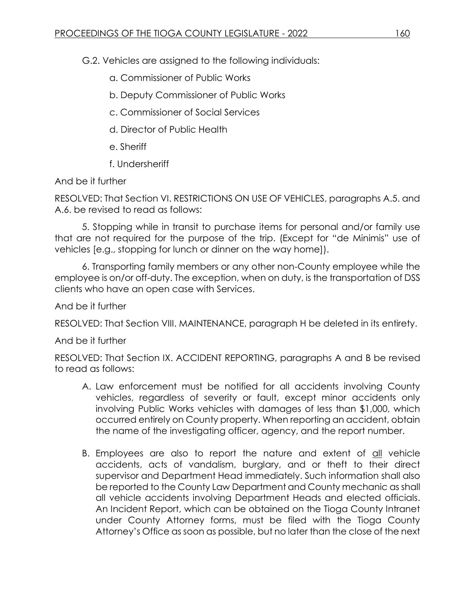G.2. Vehicles are assigned to the following individuals:

- a. Commissioner of Public Works
- b. Deputy Commissioner of Public Works
- c. Commissioner of Social Services
- d. Director of Public Health
- e. Sheriff
- f. Undersheriff

And be it further

RESOLVED: That Section VI. RESTRICTIONS ON USE OF VEHICLES, paragraphs A.5. and A.6. be revised to read as follows:

5. Stopping while in transit to purchase items for personal and/or family use that are not required for the purpose of the trip. (Except for "de Minimis" use of vehicles [e.g., stopping for lunch or dinner on the way home]).

6. Transporting family members or any other non-County employee while the employee is on/or off-duty. The exception, when on duty, is the transportation of DSS clients who have an open case with Services.

And be it further

RESOLVED: That Section VIII. MAINTENANCE, paragraph H be deleted in its entirety.

And be it further

RESOLVED: That Section IX. ACCIDENT REPORTING, paragraphs A and B be revised to read as follows:

- A. Law enforcement must be notified for all accidents involving County vehicles, regardless of severity or fault, except minor accidents only involving Public Works vehicles with damages of less than \$1,000, which occurred entirely on County property. When reporting an accident, obtain the name of the investigating officer, agency, and the report number.
- B. Employees are also to report the nature and extent of all vehicle accidents, acts of vandalism, burglary, and or theft to their direct supervisor and Department Head immediately. Such information shall also be reported to the County Law Department and County mechanic as shall all vehicle accidents involving Department Heads and elected officials. An Incident Report, which can be obtained on the Tioga County Intranet under County Attorney forms, must be filed with the Tioga County Attorney's Office as soon as possible, but no later than the close of the next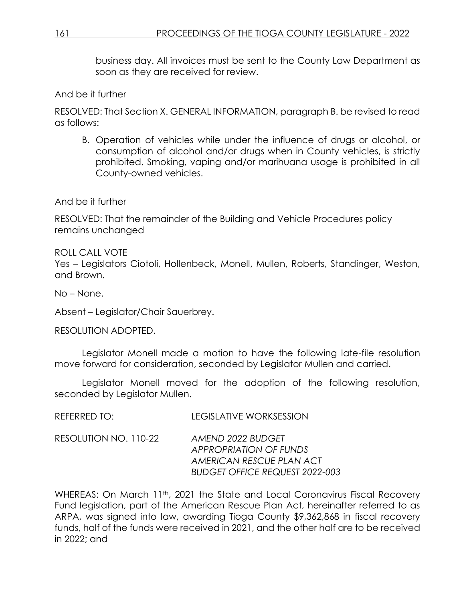business day. All invoices must be sent to the County Law Department as soon as they are received for review.

And be it further

RESOLVED: That Section X. GENERAL INFORMATION, paragraph B. be revised to read as follows:

B. Operation of vehicles while under the influence of drugs or alcohol, or consumption of alcohol and/or drugs when in County vehicles, is strictly prohibited. Smoking, vaping and/or marihuana usage is prohibited in all County-owned vehicles.

And be it further

RESOLVED: That the remainder of the Building and Vehicle Procedures policy remains unchanged

ROLL CALL VOTE Yes – Legislators Ciotoli, Hollenbeck, Monell, Mullen, Roberts, Standinger, Weston, and Brown.

No – None.

Absent – Legislator/Chair Sauerbrey.

RESOLUTION ADOPTED.

Legislator Monell made a motion to have the following late-file resolution move forward for consideration, seconded by Legislator Mullen and carried.

Legislator Monell moved for the adoption of the following resolution, seconded by Legislator Mullen.

| REFERRED TO:          | <b>LEGISLATIVE WORKSESSION</b>                                                                                                            |
|-----------------------|-------------------------------------------------------------------------------------------------------------------------------------------|
| RESOLUTION NO. 110-22 | AMEND 2022 BUDGET<br>$\lambda$ DDD $\bigcap$ DDL $\lambda$ TI $\bigcap$ $\lambda$ L $\bigcap$ $\bigcap$ $\Gamma$ L $\lambda$ LD $\bigcap$ |

*APPROPRIATION OF FUNDS AMERICAN RESCUE PLAN ACT BUDGET OFFICE REQUEST 2022-003*

WHEREAS: On March 11<sup>th</sup>, 2021 the State and Local Coronavirus Fiscal Recovery Fund legislation, part of the American Rescue Plan Act, hereinafter referred to as ARPA, was signed into law, awarding Tioga County \$9,362,868 in fiscal recovery funds, half of the funds were received in 2021, and the other half are to be received in 2022; and